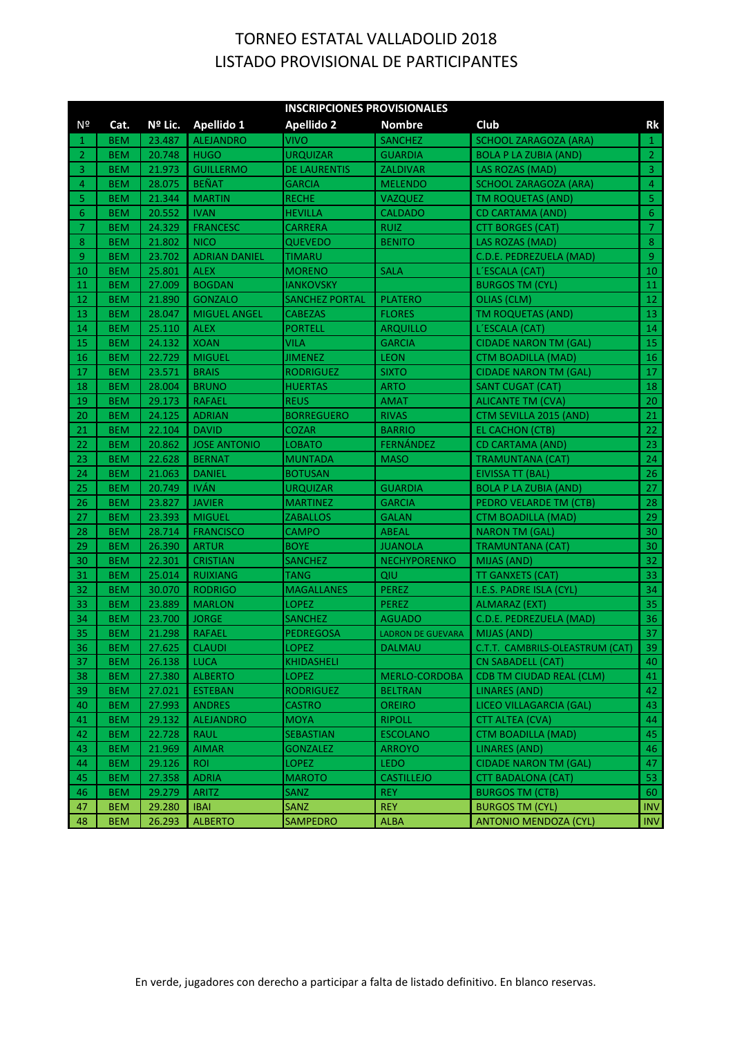|                | <b>INSCRIPCIONES PROVISIONALES</b> |         |                      |                     |                          |                                 |                         |  |
|----------------|------------------------------------|---------|----------------------|---------------------|--------------------------|---------------------------------|-------------------------|--|
| Nº             | Cat.                               | Nº Lic. | Apellido 1           | <b>Apellido 2</b>   | <b>Nombre</b>            | Club                            | Rk                      |  |
| 1              | <b>BEM</b>                         | 23.487  | <b>ALEJANDRO</b>     | <b>VIVO</b>         | <b>SANCHEZ</b>           | <b>SCHOOL ZARAGOZA (ARA)</b>    | $\mathbf{1}$            |  |
| $\overline{2}$ | <b>BEM</b>                         | 20.748  | <b>HUGO</b>          | <b>URQUIZAR</b>     | <b>GUARDIA</b>           | <b>BOLA P LA ZUBIA (AND)</b>    | $\overline{2}$          |  |
| 3              | <b>BEM</b>                         | 21.973  | <b>GUILLERMO</b>     | <b>DE LAURENTIS</b> | ZALDIVAR                 | LAS ROZAS (MAD)                 | $\overline{3}$          |  |
| 4              | <b>BEM</b>                         | 28.075  | <b>BEÑAT</b>         | <b>GARCIA</b>       | <b>MELENDO</b>           | <b>SCHOOL ZARAGOZA (ARA)</b>    | $\overline{4}$          |  |
| 5              | <b>BEM</b>                         | 21.344  | <b>MARTIN</b>        | RECHE               | <b>VAZQUEZ</b>           | TM ROQUETAS (AND)               | $\overline{\mathbf{5}}$ |  |
| 6              | <b>BEM</b>                         | 20.552  | <b>IVAN</b>          | HEVILLA             | <b>CALDADO</b>           | CD CARTAMA (AND)                | $\overline{6}$          |  |
| 7              | <b>BEM</b>                         | 24.329  | <b>FRANCESC</b>      | CARRERA             | <b>RUIZ</b>              | <b>CTT BORGES (CAT)</b>         | $\overline{7}$          |  |
| 8              | <b>BEM</b>                         | 21.802  | <b>NICO</b>          | <b>QUEVEDO</b>      | <b>BENITO</b>            | LAS ROZAS (MAD)                 | $\bar{8}$               |  |
| 9              | <b>BEM</b>                         | 23.702  | <b>ADRIAN DANIEL</b> | TIMARU              |                          | C.D.E. PEDREZUELA (MAD)         | $\overline{9}$          |  |
| 10             | <b>BEM</b>                         | 25.801  | <b>ALEX</b>          | <b>MORENO</b>       | <b>SALA</b>              | L'ESCALA (CAT)                  | 10                      |  |
| 11             | <b>BEM</b>                         | 27.009  | <b>BOGDAN</b>        | <b>IANKOVSKY</b>    |                          | <b>BURGOS TM (CYL)</b>          | 11                      |  |
| 12             | <b>BEM</b>                         | 21.890  | <b>GONZALO</b>       | SANCHEZ PORTAL      | <b>PLATERO</b>           | OLIAS (CLM)                     | 12                      |  |
| 13             | <b>BEM</b>                         | 28.047  | <b>MIGUEL ANGEL</b>  | <b>CABEZAS</b>      | <b>FLORES</b>            | TM ROQUETAS (AND)               | 13                      |  |
| 14             | <b>BEM</b>                         | 25.110  | <b>ALEX</b>          | <b>PORTELL</b>      | <b>ARQUILLO</b>          | L'ESCALA (CAT)                  | 14                      |  |
| 15             | <b>BEM</b>                         | 24.132  | <b>XOAN</b>          | <b>VILA</b>         | <b>GARCIA</b>            | <b>CIDADE NARON TM (GAL)</b>    | 15                      |  |
| 16             | <b>BEM</b>                         | 22.729  | <b>MIGUEL</b>        | <b>JIMENEZ</b>      | <b>LEON</b>              | <b>CTM BOADILLA (MAD)</b>       | 16                      |  |
| 17             | <b>BEM</b>                         | 23.571  | <b>BRAIS</b>         | RODRIGUEZ           | <b>SIXTO</b>             | <b>CIDADE NARON TM (GAL)</b>    | 17                      |  |
| 18             | <b>BEM</b>                         | 28.004  | <b>BRUNO</b>         | <b>HUERTAS</b>      | <b>ARTO</b>              | SANT CUGAT (CAT)                | 18                      |  |
| 19             | <b>BEM</b>                         | 29.173  | <b>RAFAEL</b>        | <b>REUS</b>         | <b>AMAT</b>              | <b>ALICANTE TM (CVA)</b>        | 20                      |  |
| 20             | <b>BEM</b>                         | 24.125  | <b>ADRIAN</b>        | <b>BORREGUERO</b>   | <b>RIVAS</b>             | CTM SEVILLA 2015 (AND)          | 21                      |  |
| 21             | <b>BEM</b>                         | 22.104  | <b>DAVID</b>         | <b>COZAR</b>        | <b>BARRIO</b>            | <b>EL CACHON (CTB)</b>          | 22                      |  |
| 22             | <b>BEM</b>                         | 20.862  | <b>JOSE ANTONIO</b>  | LOBATO              | FERNÁNDEZ                | <b>CD CARTAMA (AND)</b>         | 23                      |  |
| 23             | <b>BEM</b>                         | 22.628  | <b>BERNAT</b>        | <b>MUNTADA</b>      | <b>MASO</b>              | <b>TRAMUNTANA (CAT)</b>         | 24                      |  |
| 24             | <b>BEM</b>                         | 21.063  | <b>DANIEL</b>        | <b>BOTUSAN</b>      |                          | EIVISSA TT (BAL)                | 26                      |  |
| 25             | <b>BEM</b>                         | 20.749  | <b>IVÁN</b>          | <b>URQUIZAR</b>     | <b>GUARDIA</b>           | <b>BOLA P LA ZUBIA (AND)</b>    | 27                      |  |
| 26             | <b>BEM</b>                         | 23.827  | <b>JAVIER</b>        | <b>MARTINEZ</b>     | <b>GARCIA</b>            | PEDRO VELARDE TM (CTB)          | 28                      |  |
| 27             | <b>BEM</b>                         | 23.393  | <b>MIGUEL</b>        | ZABALLOS            | <b>GALAN</b>             | <b>CTM BOADILLA (MAD)</b>       | 29                      |  |
| 28             | <b>BEM</b>                         | 28.714  | <b>FRANCISCO</b>     | <b>CAMPO</b>        | <b>ABEAL</b>             | <b>NARON TM (GAL)</b>           | 30                      |  |
| 29             | <b>BEM</b>                         | 26.390  | <b>ARTUR</b>         | <b>BOYE</b>         | <b>JUANOLA</b>           | <b>TRAMUNTANA (CAT)</b>         | 30                      |  |
| 30             | <b>BEM</b>                         | 22.301  | <b>CRISTIAN</b>      | SANCHEZ             | <b>NECHYPORENKO</b>      | MIJAS (AND)                     | 32                      |  |
| 31             | <b>BEM</b>                         | 25.014  | <b>RUIXIANG</b>      | TANG                | QIU                      | TT GANXETS (CAT)                | 33                      |  |
| 32             | <b>BEM</b>                         | 30.070  | <b>RODRIGO</b>       | <b>MAGALLANES</b>   | <b>PEREZ</b>             | I.E.S. PADRE ISLA (CYL)         | 34                      |  |
| 33             | <b>BEM</b>                         | 23.889  | <b>MARLON</b>        | LOPEZ               | <b>PEREZ</b>             | ALMARAZ (EXT)                   | 35                      |  |
| -34            | <b>BEM</b>                         | 23.700  | <b>JORGE</b>         | <b>SANCHEZ</b>      | <b>AGUADO</b>            | C.D.E. PEDREZUELA (MAD)         | 36                      |  |
| 35             | <b>BEM</b>                         | 21.298  | <b>RAFAEL</b>        | PEDREGOSA           | <b>LADRON DE GUEVARA</b> | MIJAS (AND)                     | 37                      |  |
| -36            | <b>BEM</b>                         | 27.625  | <b>CLAUDI</b>        | LOPEZ               | <b>DALMAU</b>            | C.T.T. CAMBRILS-OLEASTRUM (CAT) | 39                      |  |
| -37            | <b>BEM</b>                         | 26.138  | <b>LUCA</b>          | KHIDASHELI          |                          | <b>CN SABADELL (CAT)</b>        | 40                      |  |
| 38             | <b>BEM</b>                         | 27.380  | <b>ALBERTO</b>       | LOPEZ               | MERLO-CORDOBA            | <b>CDB TM CIUDAD REAL (CLM)</b> | 41                      |  |
| 39             | <b>BEM</b>                         | 27.021  | <b>ESTEBAN</b>       | <b>RODRIGUEZ</b>    | <b>BELTRAN</b>           | <b>LINARES (AND)</b>            | 42                      |  |
| 40             | <b>BEM</b>                         | 27.993  | <b>ANDRES</b>        | <b>CASTRO</b>       | <b>OREIRO</b>            | LICEO VILLAGARCIA (GAL)         | 43                      |  |
| 41             | <b>BEM</b>                         | 29.132  | <b>ALEJANDRO</b>     | <b>MOYA</b>         | <b>RIPOLL</b>            | <b>CTT ALTEA (CVA)</b>          | 44                      |  |
| 42             | <b>BEM</b>                         | 22.728  | <b>RAUL</b>          | <b>SEBASTIAN</b>    | <b>ESCOLANO</b>          | <b>CTM BOADILLA (MAD)</b>       | 45                      |  |
| 43             | <b>BEM</b>                         | 21.969  | <b>AIMAR</b>         | <b>GONZALEZ</b>     | <b>ARROYO</b>            | LINARES (AND)                   | 46                      |  |
| 44             | <b>BEM</b>                         | 29.126  | <b>ROI</b>           | <b>LOPEZ</b>        | <b>LEDO</b>              | <b>CIDADE NARON TM (GAL)</b>    | 47                      |  |
| 45             | <b>BEM</b>                         | 27.358  | <b>ADRIA</b>         | <b>MAROTO</b>       | <b>CASTILLEJO</b>        | CTT BADALONA (CAT)              | 53                      |  |
| 46             | <b>BEM</b>                         | 29.279  | <b>ARITZ</b>         | SANZ                | <b>REY</b>               | <b>BURGOS TM (CTB)</b>          | 60                      |  |
| 47             | <b>BEM</b>                         | 29.280  | <b>IBAI</b>          | SANZ                | <b>REY</b>               | <b>BURGOS TM (CYL)</b>          | <b>INV</b>              |  |
| 48             | <b>BEM</b>                         | 26.293  | <b>ALBERTO</b>       | SAMPEDRO            | <b>ALBA</b>              | <b>ANTONIO MENDOZA (CYL)</b>    | <b>INV</b>              |  |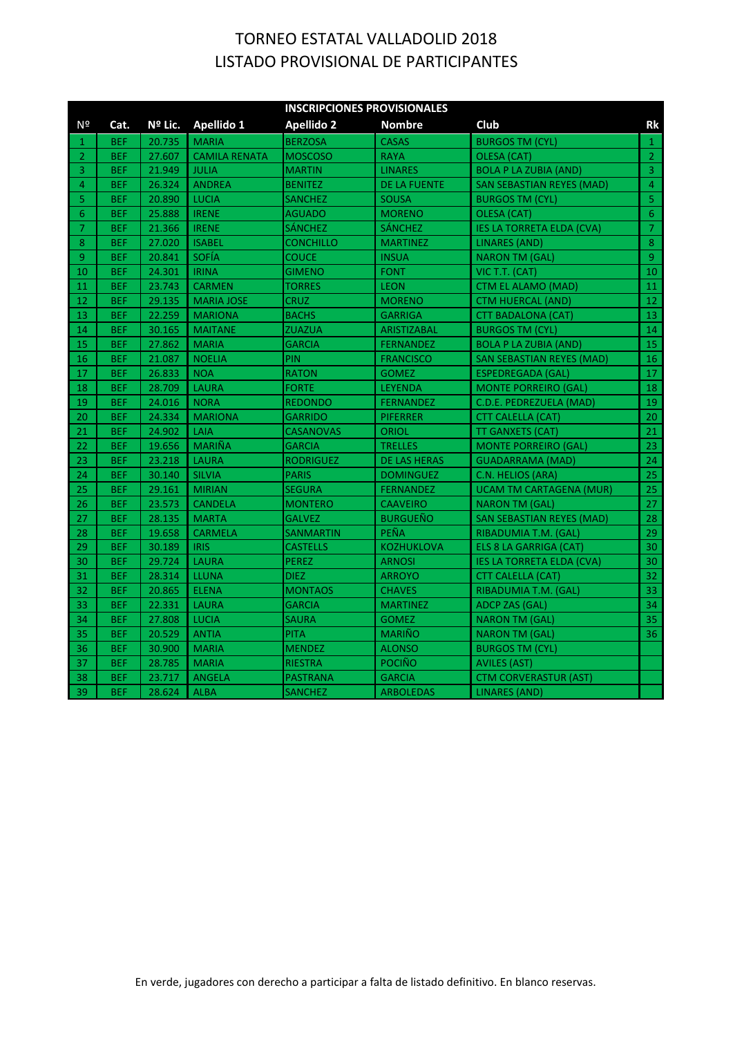|                |            |         |                      | <b>INSCRIPCIONES PROVISIONALES</b> |                     |                                  |                |
|----------------|------------|---------|----------------------|------------------------------------|---------------------|----------------------------------|----------------|
| N <sup>o</sup> | Cat.       | Nº Lic. | Apellido 1           | <b>Apellido 2</b>                  | <b>Nombre</b>       | Club                             | <b>Rk</b>      |
| 1              | <b>BEF</b> | 20.735  | <b>MARIA</b>         | <b>BERZOSA</b>                     | <b>CASAS</b>        | <b>BURGOS TM (CYL)</b>           | $\mathbf{1}$   |
| $\overline{2}$ | <b>BEF</b> | 27.607  | <b>CAMILA RENATA</b> | <b>MOSCOSO</b>                     | <b>RAYA</b>         | OLESA (CAT)                      | $\overline{2}$ |
| 3              | <b>BEF</b> | 21.949  | <b>JULIA</b>         | <b>MARTIN</b>                      | <b>LINARES</b>      | <b>BOLA P LA ZUBIA (AND)</b>     | $\overline{3}$ |
| 4              | <b>BEF</b> | 26.324  | <b>ANDREA</b>        | <b>BENITEZ</b>                     | <b>DE LA FUENTE</b> | <b>SAN SEBASTIAN REYES (MAD)</b> | $\overline{4}$ |
| 5              | <b>BEF</b> | 20.890  | <b>LUCIA</b>         | <b>SANCHEZ</b>                     | <b>SOUSA</b>        | <b>BURGOS TM (CYL)</b>           | $\overline{5}$ |
| 6              | <b>BEF</b> | 25.888  | <b>IRENE</b>         | AGUADO                             | <b>MORENO</b>       | OLESA (CAT)                      | $\overline{6}$ |
| $\overline{7}$ | <b>BEF</b> | 21.366  | <b>IRENE</b>         | SÁNCHEZ                            | <b>SÁNCHEZ</b>      | <b>IES LA TORRETA ELDA (CVA)</b> | $\overline{7}$ |
| 8              | <b>BEF</b> | 27.020  | <b>ISABEL</b>        | <b>CONCHILLO</b>                   | <b>MARTINEZ</b>     | <b>LINARES (AND)</b>             | $\bar{8}$      |
| $\overline{9}$ | <b>BEF</b> | 20.841  | <b>SOFÍA</b>         | <b>COUCE</b>                       | <b>INSUA</b>        | <b>NARON TM (GAL)</b>            | $\overline{9}$ |
| 10             | <b>BEF</b> | 24.301  | <b>IRINA</b>         | <b>GIMENO</b>                      | <b>FONT</b>         | VIC T.T. (CAT)                   | 10             |
| 11             | <b>BEF</b> | 23.743  | <b>CARMEN</b>        | TORRES                             | <b>LEON</b>         | <b>CTM EL ALAMO (MAD)</b>        | 11             |
| 12             | <b>BEF</b> | 29.135  | <b>MARIA JOSE</b>    | CRUZ                               | <b>MORENO</b>       | <b>CTM HUERCAL (AND)</b>         | 12             |
| 13             | <b>BEF</b> | 22.259  | <b>MARIONA</b>       | <b>BACHS</b>                       | <b>GARRIGA</b>      | CTT BADALONA (CAT)               | 13             |
| 14             | <b>BEF</b> | 30.165  | <b>MAITANE</b>       | <b>ZUAZUA</b>                      | <b>ARISTIZABAL</b>  | <b>BURGOS TM (CYL)</b>           | 14             |
| 15             | <b>BEF</b> | 27.862  | <b>MARIA</b>         | <b>GARCIA</b>                      | <b>FERNANDEZ</b>    | <b>BOLA P LA ZUBIA (AND)</b>     | 15             |
| 16             | <b>BEF</b> | 21.087  | <b>NOELIA</b>        | PIN                                | <b>FRANCISCO</b>    | <b>SAN SEBASTIAN REYES (MAD)</b> | 16             |
| 17             | <b>BEF</b> | 26.833  | <b>NOA</b>           | RATON                              | <b>GOMEZ</b>        | <b>ESPEDREGADA (GAL)</b>         | 17             |
| 18             | <b>BEF</b> | 28.709  | <b>LAURA</b>         | FORTE                              | <b>LEYENDA</b>      | <b>MONTE PORREIRO (GAL)</b>      | 18             |
| 19             | <b>BEF</b> | 24.016  | <b>NORA</b>          | <b>REDONDO</b>                     | <b>FERNANDEZ</b>    | C.D.E. PEDREZUELA (MAD)          | 19             |
| 20             | <b>BEF</b> | 24.334  | <b>MARIONA</b>       | <b>GARRIDO</b>                     | <b>PIFERRER</b>     | <b>CTT CALELLA (CAT)</b>         | 20             |
| 21             | <b>BEF</b> | 24.902  | LAIA                 | <b>CASANOVAS</b>                   | <b>ORIOL</b>        | <b>TT GANXETS (CAT)</b>          | 21             |
| 22             | <b>BEF</b> | 19.656  | <b>MARIÑA</b>        | <b>GARCIA</b>                      | <b>TRELLES</b>      | <b>MONTE PORREIRO (GAL)</b>      | 23             |
| 23             | <b>BEF</b> | 23.218  | <b>LAURA</b>         | RODRIGUEZ                          | <b>DE LAS HERAS</b> | <b>GUADARRAMA (MAD)</b>          | 24             |
| 24             | <b>BEF</b> | 30.140  | <b>SILVIA</b>        | <b>PARIS</b>                       | <b>DOMINGUEZ</b>    | C.N. HELIOS (ARA)                | 25             |
| 25             | <b>BEF</b> | 29.161  | <b>MIRIAN</b>        | <b>SEGURA</b>                      | <b>FERNANDEZ</b>    | <b>UCAM TM CARTAGENA (MUR)</b>   | 25             |
| 26             | <b>BEF</b> | 23.573  | <b>CANDELA</b>       | <b>MONTERO</b>                     | <b>CAAVEIRO</b>     | <b>NARON TM (GAL)</b>            | 27             |
| 27             | <b>BEF</b> | 28.135  | <b>MARTA</b>         | <b>GALVEZ</b>                      | <b>BURGUEÑO</b>     | SAN SEBASTIAN REYES (MAD)        | 28             |
| 28             | <b>BEF</b> | 19.658  | <b>CARMELA</b>       | <b>SANMARTIN</b>                   | PEÑA                | RIBADUMIA T.M. (GAL)             | 29             |
| 29             | <b>BEF</b> | 30.189  | <b>IRIS</b>          | <b>CASTELLS</b>                    | <b>KOZHUKLOVA</b>   | ELS 8 LA GARRIGA (CAT)           | 30             |
| 30             | <b>BEF</b> | 29.724  | <b>LAURA</b>         | <b>PEREZ</b>                       | <b>ARNOSI</b>       | <b>IES LA TORRETA ELDA (CVA)</b> | 30             |
| 31             | <b>BEF</b> | 28.314  | <b>LLUNA</b>         | <b>DIEZ</b>                        | <b>ARROYO</b>       | <b>CTT CALELLA (CAT)</b>         | 32             |
| 32             | <b>BEF</b> | 20.865  | <b>ELENA</b>         | <b>MONTAOS</b>                     | <b>CHAVES</b>       | RIBADUMIA T.M. (GAL)             | 33             |
| 33             | <b>BEF</b> | 22.331  | <b>LAURA</b>         | <b>GARCIA</b>                      | <b>MARTINEZ</b>     | <b>ADCP ZAS (GAL)</b>            | 34             |
| 34             | <b>BEF</b> | 27.808  | <b>LUCIA</b>         | SAURA                              | <b>GOMEZ</b>        | <b>NARON TM (GAL)</b>            | 35             |
| 35             | <b>BEF</b> | 20.529  | <b>ANTIA</b>         | <b>PITA</b>                        | <b>MARIÑO</b>       | <b>NARON TM (GAL)</b>            | 36             |
| 36             | <b>BEF</b> | 30.900  | <b>MARIA</b>         | <b>MENDEZ</b>                      | <b>ALONSO</b>       | <b>BURGOS TM (CYL)</b>           |                |
| 37             | <b>BEF</b> | 28.785  | <b>MARIA</b>         | <b>RIESTRA</b>                     | <b>POCIÑO</b>       | <b>AVILES (AST)</b>              |                |
| 38             | <b>BEF</b> | 23.717  | <b>ANGELA</b>        | PASTRANA                           | <b>GARCIA</b>       | <b>CTM CORVERASTUR (AST)</b>     |                |
| 39             | <b>BEF</b> | 28.624  | <b>ALBA</b>          | SANCHEZ                            | <b>ARBOLEDAS</b>    | <b>LINARES (AND)</b>             |                |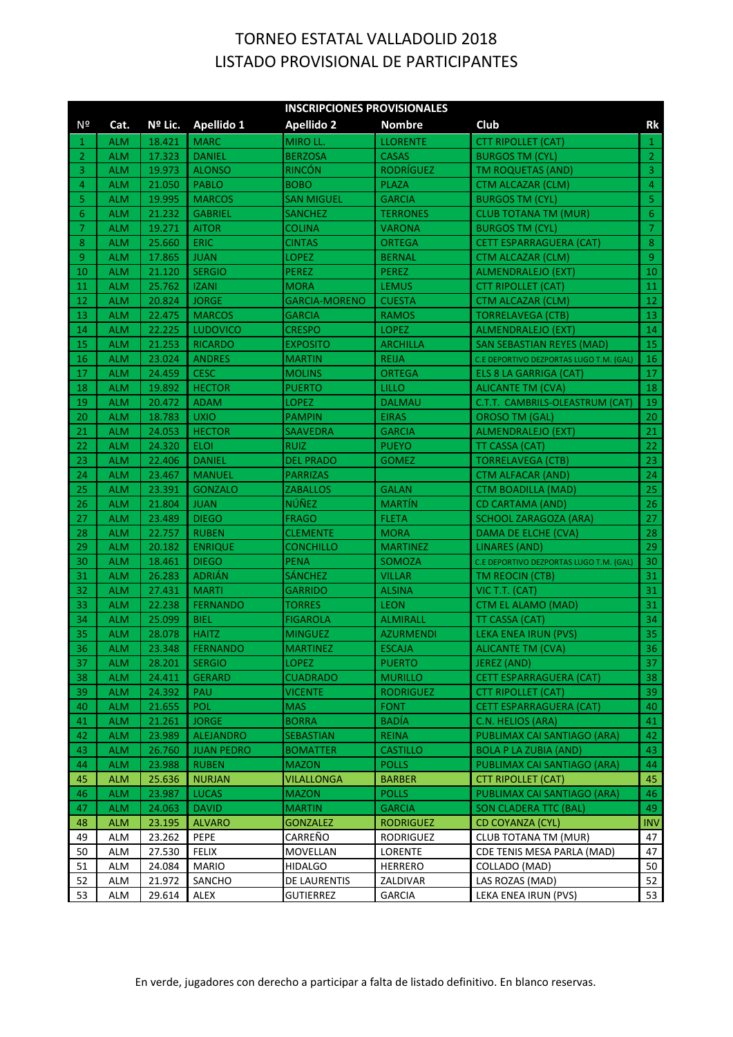|          | <b>INSCRIPCIONES PROVISIONALES</b> |                  |                             |                                   |                                   |                                                  |                 |  |
|----------|------------------------------------|------------------|-----------------------------|-----------------------------------|-----------------------------------|--------------------------------------------------|-----------------|--|
| Nº       | Cat.                               | Nº Lic.          | Apellido 1                  | <b>Apellido 2</b>                 | <b>Nombre</b>                     | Club                                             | Rk              |  |
| 1        | <b>ALM</b>                         | 18.421           | <b>MARC</b>                 | MIRO LL.                          | <b>LLORENTE</b>                   | <b>CTT RIPOLLET (CAT)</b>                        | $\mathbf{1}$    |  |
| 2        | <b>ALM</b>                         | 17.323           | <b>DANIEL</b>               | <b>BERZOSA</b>                    | <b>CASAS</b>                      | <b>BURGOS TM (CYL)</b>                           | $\overline{2}$  |  |
| 3        | <b>ALM</b>                         | 19.973           | <b>ALONSO</b>               | <b>RINCÓN</b>                     | <b>RODRÍGUEZ</b>                  | TM ROQUETAS (AND)                                | $\overline{3}$  |  |
| 4        | <b>ALM</b>                         | 21.050           | <b>PABLO</b>                | <b>BOBO</b>                       | <b>PLAZA</b>                      | CTM ALCAZAR (CLM)                                | $\overline{4}$  |  |
| 5        | <b>ALM</b>                         | 19.995           | <b>MARCOS</b>               | <b>SAN MIGUEL</b>                 | <b>GARCIA</b>                     | <b>BURGOS TM (CYL)</b>                           | 5               |  |
| 6        | <b>ALM</b>                         | 21.232           | <b>GABRIEL</b>              | <b>SANCHEZ</b>                    | <b>TERRONES</b>                   | <b>CLUB TOTANA TM (MUR)</b>                      | $6\phantom{.}6$ |  |
| 7        | <b>ALM</b>                         | 19.271           | <b>AITOR</b>                | <b>COLINA</b>                     | <b>VARONA</b>                     | <b>BURGOS TM (CYL)</b>                           | $\mathcal{I}$   |  |
| 8        | <b>ALM</b>                         | 25.660           | <b>ERIC</b>                 | <b>CINTAS</b>                     | <b>ORTEGA</b>                     | <b>CETT ESPARRAGUERA (CAT)</b>                   | $\bf 8$         |  |
| 9        | <b>ALM</b>                         | 17.865           | <b>JUAN</b>                 | LOPEZ                             | <b>BERNAL</b>                     | CTM ALCAZAR (CLM)                                | $\overline{9}$  |  |
| 10       | <b>ALM</b>                         | 21.120           | <b>SERGIO</b>               | PEREZ                             | <b>PEREZ</b>                      | ALMENDRALEJO (EXT)                               | 10              |  |
| 11       | <b>ALM</b>                         | 25.762           | <b>IZANI</b>                | <b>MORA</b>                       | <b>LEMUS</b>                      | <b>CTT RIPOLLET (CAT)</b>                        | 11              |  |
| 12       | <b>ALM</b>                         | 20.824           | <b>JORGE</b>                | <b>GARCIA-MORENO</b>              | <b>CUESTA</b>                     | CTM ALCAZAR (CLM)                                | 12              |  |
| 13       | <b>ALM</b>                         | 22.475           | <b>MARCOS</b>               | <b>GARCIA</b>                     | <b>RAMOS</b>                      | TORRELAVEGA (CTB)                                | 13              |  |
| 14       | <b>ALM</b>                         | 22.225           | <b>LUDOVICO</b>             | <b>CRESPO</b>                     | <b>LOPEZ</b>                      | ALMENDRALEJO (EXT)                               | 14              |  |
| 15       | <b>ALM</b>                         | 21.253           | <b>RICARDO</b>              | <b>EXPOSITO</b>                   | <b>ARCHILLA</b>                   | SAN SEBASTIAN REYES (MAD)                        | 15              |  |
| 16       | <b>ALM</b>                         | 23.024           | <b>ANDRES</b>               | <b>MARTIN</b>                     | <b>REIJA</b>                      | C.E DEPORTIVO DEZPORTAS LUGO T.M. (GAL)          | 16              |  |
| 17       | <b>ALM</b>                         | 24.459           | <b>CESC</b>                 | <b>MOLINS</b>                     | ORTEGA                            | ELS 8 LA GARRIGA (CAT)                           | 17              |  |
| 18       | <b>ALM</b>                         | 19.892           | <b>HECTOR</b>               | <b>PUERTO</b>                     | LILLO                             | ALICANTE TM (CVA)                                | 18              |  |
| 19       | <b>ALM</b>                         | 20.472           | <b>ADAM</b>                 | <b>LOPEZ</b>                      | <b>DALMAU</b>                     | C.T.T. CAMBRILS-OLEASTRUM (CAT)                  | 19              |  |
| 20       | <b>ALM</b>                         | 18.783           | <b>UXIO</b>                 | <b>PAMPIN</b>                     | <b>EIRAS</b>                      | <b>OROSO TM (GAL)</b>                            | 20              |  |
| 21       | <b>ALM</b>                         | 24.053           | <b>HECTOR</b>               | SAAVEDRA                          | <b>GARCIA</b>                     | ALMENDRALEJO (EXT)                               | 21              |  |
| 22       | <b>ALM</b>                         | 24.320           | <b>ELOI</b>                 | <b>RUIZ</b>                       | <b>PUEYO</b>                      | TT CASSA (CAT)                                   | 22              |  |
| 23       | <b>ALM</b>                         | 22.406           | <b>DANIEL</b>               | <b>DEL PRADO</b>                  | <b>GOMEZ</b>                      | <b>TORRELAVEGA (CTB)</b>                         | 23              |  |
| 24       | <b>ALM</b>                         | 23.467           | <b>MANUEL</b>               | <b>PARRIZAS</b>                   |                                   | CTM ALFACAR (AND)                                | 24              |  |
| 25       | <b>ALM</b>                         | 23.391           | <b>GONZALO</b>              | <b>ZABALLOS</b>                   | <b>GALAN</b>                      | CTM BOADILLA (MAD)                               | 25              |  |
| 26       | <b>ALM</b>                         | 21.804           | <b>JUAN</b>                 | <b>NÚÑEZ</b>                      | <b>MARTIN</b>                     | <b>CD CARTAMA (AND)</b>                          | 26              |  |
| 27       | <b>ALM</b>                         | 23.489           | <b>DIEGO</b>                | <b>FRAGO</b>                      | <b>FLETA</b>                      | <b>SCHOOL ZARAGOZA (ARA)</b>                     | 27              |  |
| 28       | <b>ALM</b>                         | 22.757           | <b>RUBEN</b>                | <b>CLEMENTE</b>                   | <b>MORA</b>                       | DAMA DE ELCHE (CVA)                              | 28              |  |
| 29       | <b>ALM</b>                         | 20.182           | <b>ENRIQUE</b>              | <b>CONCHILLO</b>                  | <b>MARTINEZ</b>                   | LINARES (AND)                                    | 29              |  |
| 30       | <b>ALM</b>                         | 18.461           | <b>DIEGO</b>                | <b>PENA</b>                       | SOMOZA                            | C.E DEPORTIVO DEZPORTAS LUGO T.M. (GAL)          | 30              |  |
| 31       | <b>ALM</b>                         | 26.283           | <b>ADRIÁN</b>               | <b>SÁNCHEZ</b>                    | <b>VILLAR</b>                     | TM REOCIN (CTB)                                  | 31              |  |
| 32       | <b>ALM</b>                         | 27.431           | <b>MARTI</b>                | <b>GARRIDO</b>                    | <b>ALSINA</b>                     | VIC T.T. (CAT)                                   | 31              |  |
| 33       | <b>ALM</b>                         | 22.238           | <b>FERNANDO</b>             | TORRES                            | <b>LEON</b>                       | CTM EL ALAMO (MAD)                               | 31              |  |
| 34       | <b>ALM</b>                         | 25.099           | <b>BIEL</b><br><b>HAITZ</b> | <b>FIGAROLA</b>                   | <b>ALMIRALL</b>                   | TT CASSA (CAT)                                   | 34<br>35        |  |
| 35<br>36 | <b>ALM</b><br><b>ALM</b>           | 28.078<br>23.348 | <b>FERNANDO</b>             | <b>MINGUEZ</b><br><b>MARTINEZ</b> | <b>AZURMENDI</b><br><b>ESCAJA</b> | LEKA ENEA IRUN (PVS)<br><b>ALICANTE TM (CVA)</b> | 36              |  |
| -37      | <b>ALM</b>                         | 28.201           | <b>SERGIO</b>               | <b>LOPEZ</b>                      | <b>PUERTO</b>                     | <b>JEREZ (AND)</b>                               | 37              |  |
| 38       | <b>ALM</b>                         | 24.411           | <b>GERARD</b>               | <b>CUADRADO</b>                   | <b>MURILLO</b>                    | <b>CETT ESPARRAGUERA (CAT)</b>                   | 38              |  |
| 39       | <b>ALM</b>                         | 24.392           | <b>PAU</b>                  | <b>VICENTE</b>                    | <b>RODRIGUEZ</b>                  | <b>CTT RIPOLLET (CAT)</b>                        | 39              |  |
| 40       | <b>ALM</b>                         | 21.655           | <b>POL</b>                  | <b>MAS</b>                        | <b>FONT</b>                       | <b>CETT ESPARRAGUERA (CAT)</b>                   | 40              |  |
| 41       | <b>ALM</b>                         | 21.261           | <b>JORGE</b>                | <b>BORRA</b>                      | <b>BADÍA</b>                      | C.N. HELIOS (ARA)                                | 41              |  |
| 42       | <b>ALM</b>                         | 23.989           | ALEJANDRO                   | <b>SEBASTIAN</b>                  | <b>REINA</b>                      | PUBLIMAX CAI SANTIAGO (ARA)                      | 42              |  |
| 43       | <b>ALM</b>                         | 26.760           | <b>JUAN PEDRO</b>           | <b>BOMATTER</b>                   | <b>CASTILLO</b>                   | <b>BOLA P LA ZUBIA (AND)</b>                     | 43              |  |
| 44       | <b>ALM</b>                         | 23.988           | <b>RUBEN</b>                | <b>MAZON</b>                      | <b>POLLS</b>                      | PUBLIMAX CAI SANTIAGO (ARA)                      | 44              |  |
| 45       | <b>ALM</b>                         | 25.636           | <b>NURJAN</b>               | VILALLONGA                        | <b>BARBER</b>                     | CTT RIPOLLET (CAT)                               | 45              |  |
| 46       | <b>ALM</b>                         | 23.987           | <b>LUCAS</b>                | <b>MAZON</b>                      | <b>POLLS</b>                      | PUBLIMAX CAI SANTIAGO (ARA)                      | 46              |  |
| 47       | <b>ALM</b>                         | 24.063           | <b>DAVID</b>                | <b>MARTIN</b>                     | <b>GARCIA</b>                     | <b>SON CLADERA TTC (BAL)</b>                     | 49              |  |
| 48       | <b>ALM</b>                         | 23.195           | <b>ALVARO</b>               | <b>GONZALEZ</b>                   | <b>RODRIGUEZ</b>                  | CD COYANZA (CYL)                                 | <b>INV</b>      |  |
| 49       | ALM                                | 23.262           | PEPE                        | CARREÑO                           | RODRIGUEZ                         | <b>CLUB TOTANA TM (MUR)</b>                      | 47              |  |
| 50       | ALM                                | 27.530           | <b>FELIX</b>                | MOVELLAN                          | <b>LORENTE</b>                    | CDE TENIS MESA PARLA (MAD)                       | 47              |  |
| 51       | ALM                                | 24.084           | <b>MARIO</b>                | <b>HIDALGO</b>                    | <b>HERRERO</b>                    | COLLADO (MAD)                                    | 50              |  |
| 52       | <b>ALM</b>                         | 21.972           | SANCHO                      | DE LAURENTIS                      | ZALDIVAR                          | LAS ROZAS (MAD)                                  | 52              |  |
| 53       | ALM                                | 29.614           | ALEX                        | <b>GUTIERREZ</b>                  | <b>GARCIA</b>                     | LEKA ENEA IRUN (PVS)                             | 53              |  |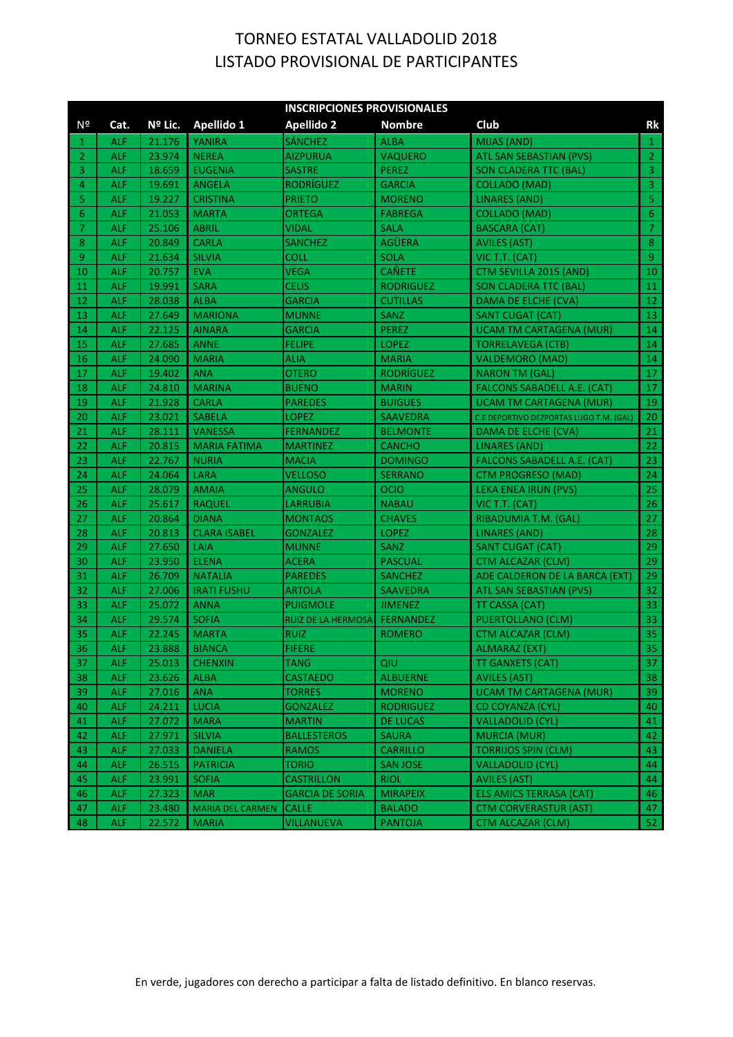|                       | <b>INSCRIPCIONES PROVISIONALES</b> |         |                         |                        |                  |                                         |                |  |
|-----------------------|------------------------------------|---------|-------------------------|------------------------|------------------|-----------------------------------------|----------------|--|
| Nº                    | Cat.                               | Nº Lic. | Apellido 1              | <b>Apellido 2</b>      | <b>Nombre</b>    | Club                                    | Rk             |  |
| 1                     | ALF                                | 21.176  | <b>YANIRA</b>           | <b>SÁNCHEZ</b>         | <b>ALBA</b>      | MIJAS (AND)                             | $\mathbf{1}$   |  |
| $\mathbf{2}^{\prime}$ | <b>ALF</b>                         | 23.974  | <b>NEREA</b>            | <b>AIZPURUA</b>        | VAQUERO          | ATL SAN SEBASTIAN (PVS)                 | $\overline{2}$ |  |
| 3                     | <b>ALF</b>                         | 18.659  | <b>EUGENIA</b>          | <b>SASTRE</b>          | <b>PEREZ</b>     | <b>SON CLADERA TTC (BAL)</b>            | $\overline{3}$ |  |
| 4                     | <b>ALF</b>                         | 19.691  | <b>ANGELA</b>           | RODRÍGUEZ              | <b>GARCIA</b>    | <b>COLLADO (MAD)</b>                    | $\overline{3}$ |  |
| 5                     | <b>ALF</b>                         | 19.227  | <b>CRISTINA</b>         | <b>PRIETO</b>          | <b>MORENO</b>    | <b>LINARES (AND)</b>                    | $\overline{5}$ |  |
| 6                     | <b>ALF</b>                         | 21.053  | <b>MARTA</b>            | ORTEGA                 | <b>FABREGA</b>   | COLLADO (MAD)                           | $\sqrt{6}$     |  |
| 7                     | <b>ALF</b>                         | 25.106  | <b>ABRIL</b>            | VIDAL                  | <b>SALA</b>      | <b>BASCARA (CAT)</b>                    | $\overline{7}$ |  |
| 8                     | <b>ALF</b>                         | 20.849  | <b>CARLA</b>            | <b>SANCHEZ</b>         | <b>AGÜERA</b>    | <b>AVILES (AST)</b>                     | $\, 8$         |  |
| 9                     | <b>ALF</b>                         | 21.634  | <b>SILVIA</b>           | COLL                   | <b>SOLA</b>      | VIC T.T. (CAT)                          | $\overline{9}$ |  |
| 10                    | ALF                                | 20.757  | <b>EVA</b>              | <b>VEGA</b>            | <b>CAÑETE</b>    | CTM SEVILLA 2015 (AND)                  | 10             |  |
| 11                    | ALF                                | 19.991  | <b>SARA</b>             | CELIS                  | <b>RODRIGUEZ</b> | <b>SON CLADERA TTC (BAL)</b>            | 11             |  |
| 12                    | ALF                                | 28.038  | <b>ALBA</b>             | <b>GARCIA</b>          | <b>CUTILLAS</b>  | DAMA DE ELCHE (CVA)                     | 12             |  |
| 13                    | ALF                                | 27.649  | <b>MARIONA</b>          | MUNNE                  | SANZ             | <b>SANT CUGAT (CAT)</b>                 | 13             |  |
| 14                    | ALF                                | 22.125  | <b>AINARA</b>           | <b>GARCIA</b>          | <b>PEREZ</b>     | <b>UCAM TM CARTAGENA (MUR)</b>          | 14             |  |
| 15                    | <b>ALF</b>                         | 27.685  | <b>ANNE</b>             | FELIPE                 | <b>LOPEZ</b>     | <b>TORRELAVEGA (CTB)</b>                | 14             |  |
| 16                    | <b>ALF</b>                         | 24.090  | <b>MARIA</b>            | ALIA                   | <b>MARIA</b>     | <b>VALDEMORO (MAD)</b>                  | 14             |  |
| 17                    | <b>ALF</b>                         | 19.402  | ANA                     | OTERO                  | <b>RODRÍGUEZ</b> | <b>NARON TM (GAL)</b>                   | 17             |  |
| 18                    | <b>ALF</b>                         | 24.810  | <b>MARINA</b>           | BUENO                  | <b>MARIN</b>     | <b>FALCONS SABADELL A.E. (CAT)</b>      | 17             |  |
| 19                    | <b>ALF</b>                         | 21.928  | <b>CARLA</b>            | <b>PAREDES</b>         | <b>BUIGUES</b>   | <b>UCAM TM CARTAGENA (MUR)</b>          | 19             |  |
| 20                    | <b>ALF</b>                         | 23.021  | <b>SABELA</b>           | LOPEZ                  | <b>SAAVEDRA</b>  | C.E DEPORTIVO DEZPORTAS LUGO T.M. (GAL) | 20             |  |
| 21                    | <b>ALF</b>                         | 28.111  | <b>VANESSA</b>          | <b>FERNANDEZ</b>       | <b>BELMONTE</b>  | DAMA DE ELCHE (CVA)                     | 21             |  |
| 22                    | <b>ALF</b>                         | 20.815  | <b>MARIA FATIMA</b>     | <b>MARTINEZ</b>        | <b>CANCHO</b>    | <b>LINARES (AND)</b>                    | 22             |  |
| 23                    | <b>ALF</b>                         | 22.767  | <b>NURIA</b>            | <b>MACIA</b>           | <b>DOMINGO</b>   | <b>FALCONS SABADELL A.E. (CAT)</b>      | 23             |  |
| 24                    | <b>ALF</b>                         | 24.064  | <b>LARA</b>             | VELLOSO                | <b>SERRANO</b>   | <b>CTM PROGRESO (MAD)</b>               | 24             |  |
| 25                    | <b>ALF</b>                         | 28.079  | <b>AMAIA</b>            | ANGULO                 | <b>OCIO</b>      | LEKA ENEA IRUN (PVS)                    | 25             |  |
| 26                    | <b>ALF</b>                         | 25.617  | <b>RAQUEL</b>           | <b>LARRUBIA</b>        | <b>NABAU</b>     | VIC T.T. (CAT)                          | 26             |  |
| 27                    | <b>ALF</b>                         | 20.864  | <b>DIANA</b>            | <b>MONTAOS</b>         | <b>CHAVES</b>    | RIBADUMIA T.M. (GAL)                    | 27             |  |
| 28                    | <b>ALF</b>                         | 20.813  | <b>CLARA ISABEL</b>     | <b>GONZALEZ</b>        | <b>LOPEZ</b>     | <b>LINARES (AND)</b>                    | 28             |  |
| 29                    | <b>ALF</b>                         | 27.650  | LAIA                    | <b>MUNNE</b>           | <b>SANZ</b>      | <b>SANT CUGAT (CAT)</b>                 | 29             |  |
| 30                    | <b>ALF</b>                         | 23.950  | <b>ELENA</b>            | ACERA                  | <b>PASCUAL</b>   | CTM ALCAZAR (CLM)                       | 29             |  |
| 31                    | <b>ALF</b>                         | 26.709  | <b>NATALIA</b>          | <b>PAREDES</b>         | <b>SANCHEZ</b>   | ADE CALDERON DE LA BARCA (EXT)          | 29             |  |
| 32                    | <b>ALF</b>                         | 27.006  | <b>IRATI FUSHU</b>      | ARTOLA                 | <b>SAAVEDRA</b>  | ATL SAN SEBASTIAN (PVS)                 | 32             |  |
| 33                    | <b>ALF</b>                         | 25.072  | <b>ANNA</b>             | <b>PUIGMOLE</b>        | <b>JIMENEZ</b>   | TT CASSA (CAT)                          | 33             |  |
| 34                    | <b>ALF</b>                         | 29.574  | <b>SOFIA</b>            | RUIZ DE LA HERMOSA     | <b>FERNANDEZ</b> | <b>PUERTOLLANO (CLM)</b>                | 33             |  |
| 35                    | ALF                                | 22.245  | <b>MARTA</b>            | <b>RUIZ</b>            | <b>ROMERO</b>    | <b>CTM ALCAZAR (CLM)</b>                | 35             |  |
| -36                   | ALF.                               | 23.888  | <b>BIANCA</b>           | <b>FIFERE</b>          |                  | <b>ALMARAZ (EXT)</b>                    | 35             |  |
| -37                   | <b>ALF</b>                         | 25.013  | <b>CHENXIN</b>          | <b>TANG</b>            | QIU              | <b>TT GANXETS (CAT)</b>                 | 37             |  |
| 38                    | ALF.                               | 23.626  | ALBA                    | <b>CASTAEDO</b>        | <b>ALBUERNE</b>  | <b>AVILES (AST)</b>                     | 38             |  |
| 39                    | <b>ALF</b>                         | 27.016  | <b>ANA</b>              | TORRES                 | <b>MORENO</b>    | <b>UCAM TM CARTAGENA (MUR)</b>          | 39             |  |
| 40                    | <b>ALF</b>                         | 24.211  | <b>LUCIA</b>            | <b>GONZALEZ</b>        | <b>RODRIGUEZ</b> | CD COYANZA (CYL)                        | 40             |  |
| 41                    | <b>ALF</b>                         | 27.072  | <b>MARA</b>             | <b>MARTIN</b>          | <b>DE LUCAS</b>  | <b>VALLADOLID (CYL)</b>                 | 41             |  |
| 42                    | <b>ALF</b>                         | 27.971  | <b>SILVIA</b>           | <b>BALLESTEROS</b>     | <b>SAURA</b>     | MURCIA (MUR)                            | 42             |  |
| 43                    | <b>ALF</b>                         | 27.033  | <b>DANIELA</b>          | RAMOS                  | <b>CARRILLO</b>  | <b>TORRIJOS SPIN (CLM)</b>              | 43             |  |
| 44                    | <b>ALF</b>                         | 26.515  | <b>PATRICIA</b>         | <b>TORIO</b>           | <b>SAN JOSE</b>  | <b>VALLADOLID (CYL)</b>                 | 44             |  |
| 45                    | <b>ALF</b>                         | 23.991  | <b>SOFIA</b>            | <b>CASTRILLON</b>      | <b>RIOL</b>      | <b>AVILES (AST)</b>                     | 44             |  |
| 46                    | <b>ALF</b>                         | 27.323  | <b>MAR</b>              | <b>GARCIA DE SORIA</b> | <b>MIRAPEIX</b>  | ELS AMICS TERRASA (CAT)                 | 46             |  |
| 47                    | ALF                                | 23.480  | <b>MARIA DEL CARMEN</b> | <b>CALLE</b>           | <b>BALADO</b>    | <b>CTM CORVERASTUR (AST)</b>            | 47             |  |
| 48                    | ALF                                | 22.572  | <b>MARIA</b>            | <b>VILLANUEVA</b>      | <b>PANTOJA</b>   | <b>CTM ALCAZAR (CLM)</b>                | 52             |  |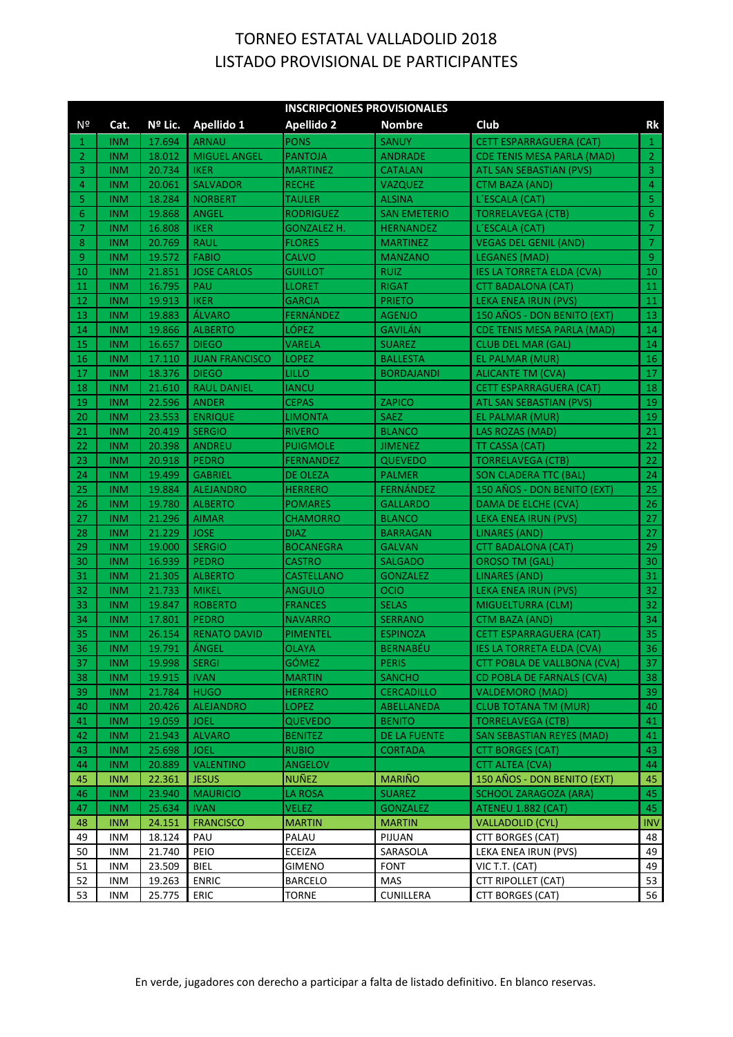|                | <b>INSCRIPCIONES PROVISIONALES</b> |                  |                       |                         |                         |                                        |                  |  |  |
|----------------|------------------------------------|------------------|-----------------------|-------------------------|-------------------------|----------------------------------------|------------------|--|--|
| Nº             | Cat.                               | Nº Lic.          | Apellido 1            | <b>Apellido 2</b>       | <b>Nombre</b>           | Club                                   | Rk               |  |  |
| 1              | <b>INM</b>                         | 17.694           | <b>ARNAU</b>          | <b>PONS</b>             | <b>SANUY</b>            | <b>CETT ESPARRAGUERA (CAT)</b>         | $\mathbf{1}$     |  |  |
| $\overline{2}$ | <b>INM</b>                         | 18.012           | <b>MIGUEL ANGEL</b>   | <b>PANTOJA</b>          | <b>ANDRADE</b>          | <b>CDE TENIS MESA PARLA (MAD)</b>      | $\overline{2}$   |  |  |
| 3              | <b>INM</b>                         | 20.734           | <b>IKER</b>           | <b>MARTINEZ</b>         | <b>CATALAN</b>          | ATL SAN SEBASTIAN (PVS)                | $\overline{3}$   |  |  |
| 4              | <b>INM</b>                         | 20.061           | <b>SALVADOR</b>       | <b>RECHE</b>            | <b>VAZQUEZ</b>          | <b>CTM BAZA (AND)</b>                  | $\overline{4}$   |  |  |
| 5              | <b>INM</b>                         | 18.284           | <b>NORBERT</b>        | <b>TAULER</b>           | <b>ALSINA</b>           | L'ESCALA (CAT)                         | $\overline{5}$   |  |  |
| 6              | <b>INM</b>                         | 19.868           | <b>ANGEL</b>          | RODRIGUEZ               | <b>SAN EMETERIO</b>     | <b>TORRELAVEGA (CTB)</b>               | $\sqrt{6}$       |  |  |
| 7              | <b>INM</b>                         | 16.808           | <b>IKER</b>           | GONZALEZ H.             | <b>HERNANDEZ</b>        | L'ESCALA (CAT)                         | $\mathcal{I}$    |  |  |
| 8              | <b>INM</b>                         | 20.769           | <b>RAUL</b>           | <b>FLORES</b>           | <b>MARTINEZ</b>         | <b>VEGAS DEL GENIL (AND)</b>           | $\overline{7}$   |  |  |
| 9              | <b>INM</b>                         | 19.572           | <b>FABIO</b>          | CALVO                   | <b>MANZANO</b>          | <b>LEGANES (MAD)</b>                   | $\overline{9}$   |  |  |
| 10             | <b>INM</b>                         | 21.851           | <b>JOSE CARLOS</b>    | GUILLOT                 | <b>RUIZ</b>             | <b>IES LA TORRETA ELDA (CVA)</b>       | 10               |  |  |
| 11             | <b>INM</b>                         | 16.795           | PAU                   | LLORET                  | <b>RIGAT</b>            | <b>CTT BADALONA (CAT)</b>              | 11               |  |  |
| 12             | <b>INM</b>                         | 19.913           | <b>IKER</b>           | <b>GARCIA</b>           | <b>PRIETO</b>           | LEKA ENEA IRUN (PVS)                   | 11               |  |  |
| 13             | <b>INM</b>                         | 19.883           | <b>ÁLVARO</b>         | FERNÁNDEZ               | <b>AGENJO</b>           | 150 AÑOS - DON BENITO (EXT)            | 13               |  |  |
| 14             | <b>INM</b>                         | 19.866           | <b>ALBERTO</b>        | LÓPEZ                   | <b>GAVILÁN</b>          | <b>CDE TENIS MESA PARLA (MAD)</b>      | 14               |  |  |
| 15             | <b>INM</b>                         | 16.657           | <b>DIEGO</b>          | VARELA                  | <b>SUAREZ</b>           | <b>CLUB DEL MAR (GAL)</b>              | 14               |  |  |
| 16             | <b>INM</b>                         | 17.110           | <b>JUAN FRANCISCO</b> | LOPEZ                   | <b>BALLESTA</b>         | EL PALMAR (MUR)                        | 16               |  |  |
| 17             | <b>INM</b>                         | 18.376           | <b>DIEGO</b>          | LILLO                   | <b>BORDAJANDI</b>       | ALICANTE TM (CVA)                      | 17               |  |  |
| 18             | <b>INM</b>                         | 21.610           | <b>RAUL DANIEL</b>    | IANCU                   |                         | <b>CETT ESPARRAGUERA (CAT)</b>         | 18               |  |  |
| 19             | <b>INM</b>                         | 22.596           | <b>ANDER</b>          | <b>CEPAS</b>            | <b>ZAPICO</b>           | ATL SAN SEBASTIAN (PVS)                | 19               |  |  |
| 20             | <b>INM</b>                         | 23.553           | <b>ENRIQUE</b>        | <b>LIMONTA</b>          | <b>SAEZ</b>             | EL PALMAR (MUR)                        | 19               |  |  |
| 21             | <b>INM</b>                         | 20.419           | <b>SERGIO</b>         | <b>RIVERO</b>           | <b>BLANCO</b>           | LAS ROZAS (MAD)                        | 21               |  |  |
| 22             | <b>INM</b>                         | 20.398           | <b>ANDREU</b>         | PUIGMOLE                | <b>JIMENEZ</b>          | TT CASSA (CAT)                         | 22               |  |  |
| 23             | <b>INM</b>                         | 20.918           | <b>PEDRO</b>          | FERNANDEZ               | <b>QUEVEDO</b>          | <b>TORRELAVEGA (CTB)</b>               | 22               |  |  |
| 24             | <b>INM</b>                         | 19.499           | <b>GABRIEL</b>        | DE OLEZA                | <b>PALMER</b>           | <b>SON CLADERA TTC (BAL)</b>           | 24               |  |  |
| 25             | <b>INM</b>                         | 19.884           | <b>ALEJANDRO</b>      | <b>HERRERO</b>          | FERNÁNDEZ               | 150 AÑOS - DON BENITO (EXT)            | 25               |  |  |
| 26             | <b>INM</b>                         | 19.780           | <b>ALBERTO</b>        | <b>POMARES</b>          | <b>GALLARDO</b>         | DAMA DE ELCHE (CVA)                    | 26               |  |  |
| 27             | <b>INM</b>                         | 21.296           | <b>AIMAR</b>          | <b>CHAMORRO</b>         | <b>BLANCO</b>           | LEKA ENEA IRUN (PVS)                   | 27               |  |  |
| 28             | <b>INM</b>                         | 21.229           | <b>JOSE</b>           | <b>DIAZ</b>             | <b>BARRAGAN</b>         | <b>LINARES (AND)</b>                   | 27               |  |  |
| 29             | <b>INM</b>                         | 19.000           | <b>SERGIO</b>         | <b>BOCANEGRA</b>        | <b>GALVAN</b>           | CTT BADALONA (CAT)                     | 29               |  |  |
| 30             | <b>INM</b>                         | 16.939           | <b>PEDRO</b>          | <b>CASTRO</b>           | <b>SALGADO</b>          | <b>OROSO TM (GAL)</b>                  | 30               |  |  |
| 31             | <b>INM</b>                         | 21.305           | <b>ALBERTO</b>        | <b>CASTELLANO</b>       | <b>GONZALEZ</b>         | <b>LINARES (AND)</b>                   | 31               |  |  |
| 32             | <b>INM</b>                         | 21.733           | <b>MIKEL</b>          | ANGULO                  | <b>OCIO</b>             | <b>LEKA ENEA IRUN (PVS)</b>            | 32               |  |  |
| 33             | <b>INM</b>                         | 19.847           | <b>ROBERTO</b>        | <b>FRANCES</b>          | <b>SELAS</b>            | MIGUELTURRA (CLM)                      | 32               |  |  |
| 34             | <b>INM</b>                         | 17.801           | <b>PEDRO</b>          | <b>NAVARRO</b>          | <b>SERRANO</b>          | <b>CTM BAZA (AND)</b>                  | 34               |  |  |
| 35             | <b>INM</b>                         | 26.154           | <b>RENATO DAVID</b>   | PIMENTEL                | <b>ESPINOZA</b>         | <b>CETT ESPARRAGUERA (CAT)</b>         | 35               |  |  |
| 36             | <b>INM</b>                         | 19.791           | ÁNGEL                 | <b>OLAYA</b>            | <b>BERNABÉU</b>         | <b>IES LA TORRETA ELDA (CVA)</b>       | 36               |  |  |
| -37            | <b>INM</b>                         | 19.998           | <b>SERGI</b>          | GÓMEZ                   | <b>PERIS</b>            | <b>CTT POBLA DE VALLBONA (CVA)</b>     | 37               |  |  |
| 38             | <b>INM</b>                         | 19.915           | <b>IVAN</b>           | <b>MARTIN</b>           | <b>SANCHO</b>           | CD POBLA DE FARNALS (CVA)              | 38               |  |  |
| 39             | <b>INM</b>                         | 21.784           | <b>HUGO</b>           | <b>HERRERO</b>          | <b>CERCADILLO</b>       | <b>VALDEMORO (MAD)</b>                 | 39               |  |  |
| 40             | <b>INM</b>                         | 20.426           | <b>ALEJANDRO</b>      | <b>LOPEZ</b>            | ABELLANEDA              | <b>CLUB TOTANA TM (MUR)</b>            | 40               |  |  |
| 41             | <b>INM</b>                         | 19.059           | <b>JOEL</b>           | <b>QUEVEDO</b>          | <b>BENITO</b>           | <b>TORRELAVEGA (CTB)</b>               | 41               |  |  |
| 42             | <b>INM</b>                         | 21.943           | <b>ALVARO</b>         | <b>BENITEZ</b>          | DE LA FUENTE            | SAN SEBASTIAN REYES (MAD)              | 41               |  |  |
| 43             | <b>INM</b>                         | 25.698           | <b>JOEL</b>           | <b>RUBIO</b>            | <b>CORTADA</b>          | <b>CTT BORGES (CAT)</b>                | 43               |  |  |
| 44             | <b>INM</b>                         | 20.889           | <b>VALENTINO</b>      | <b>ANGELOV</b>          |                         | <b>CTT ALTEA (CVA)</b>                 | 44               |  |  |
| 45             | <b>INM</b>                         | 22.361           | <b>JESUS</b>          | NUÑEZ                   | <b>MARIÑO</b>           | 150 AÑOS - DON BENITO (EXT)            | 45               |  |  |
| 46             | <b>INM</b>                         | 23.940           | <b>MAURICIO</b>       | <b>LA ROSA</b>          | <b>SUAREZ</b>           | <b>SCHOOL ZARAGOZA (ARA)</b>           | 45               |  |  |
| 47             | <b>INM</b>                         | 25.634           | <b>IVAN</b>           | VELEZ                   | <b>GONZALEZ</b>         | ATENEU 1.882 (CAT)                     | 45               |  |  |
| 48<br>49       | <b>INM</b>                         | 24.151           | <b>FRANCISCO</b>      | <b>MARTIN</b>           | <b>MARTIN</b>           | VALLADOLID (CYL)                       | <b>INV</b><br>48 |  |  |
|                | <b>INM</b>                         | 18.124           | PAU<br>PEIO           | PALAU                   | PIJUAN                  | CTT BORGES (CAT)                       | 49               |  |  |
| 50<br>51       | <b>INM</b><br><b>INM</b>           | 21.740<br>23.509 | BIEL                  | ECEIZA<br><b>GIMENO</b> | SARASOLA<br><b>FONT</b> | LEKA ENEA IRUN (PVS)<br>VIC T.T. (CAT) | 49               |  |  |
| 52             | <b>INM</b>                         | 19.263           | <b>ENRIC</b>          | <b>BARCELO</b>          | MAS                     | CTT RIPOLLET (CAT)                     | 53               |  |  |
| 53             | <b>INM</b>                         | 25.775           | ERIC                  | TORNE                   | CUNILLERA               | CTT BORGES (CAT)                       | 56               |  |  |
|                |                                    |                  |                       |                         |                         |                                        |                  |  |  |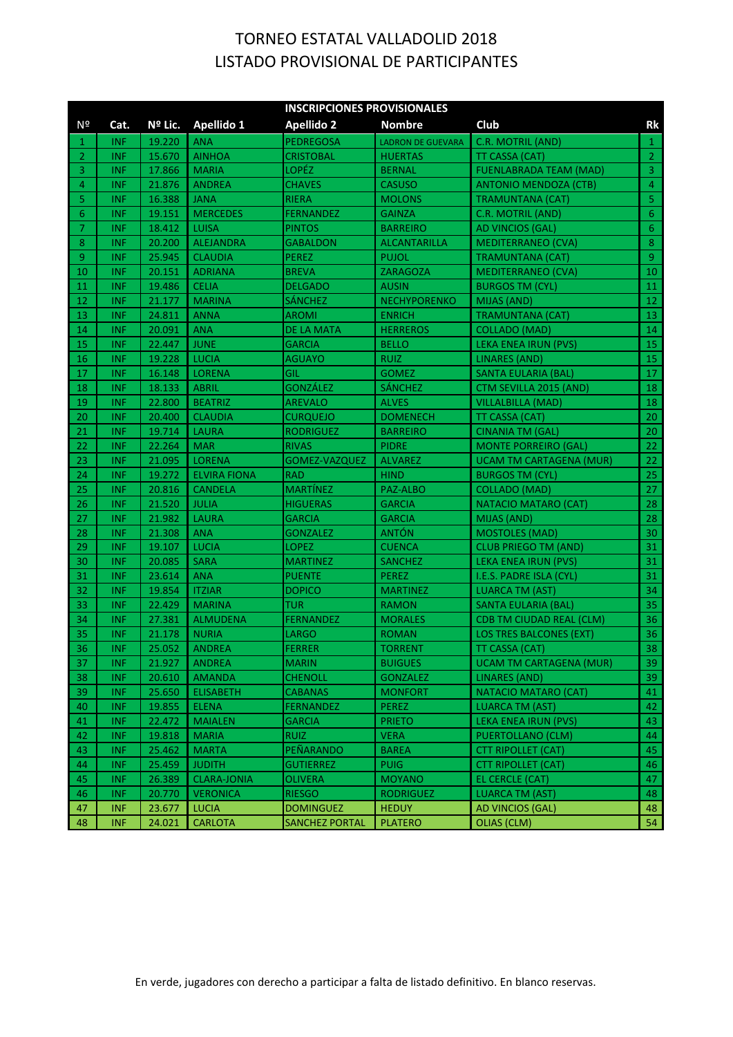|                       |            |         |                     | <b>INSCRIPCIONES PROVISIONALES</b> |                          |                                 |                         |
|-----------------------|------------|---------|---------------------|------------------------------------|--------------------------|---------------------------------|-------------------------|
| Nº                    | Cat.       | Nº Lic. | Apellido 1          | <b>Apellido 2</b>                  | <b>Nombre</b>            | Club                            | Rk                      |
| 1                     | <b>INF</b> | 19.220  | <b>ANA</b>          | <b>PEDREGOSA</b>                   | <b>LADRON DE GUEVARA</b> | C.R. MOTRIL (AND)               | $\mathbf{1}$            |
| $\mathbf{2}^{\prime}$ | <b>INF</b> | 15.670  | <b>AINHOA</b>       | <b>CRISTOBAL</b>                   | <b>HUERTAS</b>           | TT CASSA (CAT)                  | $\overline{2}$          |
| 3                     | <b>INF</b> | 17.866  | <b>MARIA</b>        | LOPÉZ                              | <b>BERNAL</b>            | <b>FUENLABRADA TEAM (MAD)</b>   | $\overline{3}$          |
| 4                     | <b>INF</b> | 21.876  | <b>ANDREA</b>       | <b>CHAVES</b>                      | <b>CASUSO</b>            | <b>ANTONIO MENDOZA (CTB)</b>    | $\overline{4}$          |
| 5                     | <b>INF</b> | 16.388  | <b>JANA</b>         | <b>RIERA</b>                       | <b>MOLONS</b>            | TRAMUNTANA (CAT)                | $\overline{\mathbf{5}}$ |
| 6                     | <b>INF</b> | 19.151  | <b>MERCEDES</b>     | <b>FERNANDEZ</b>                   | <b>GAINZA</b>            | C.R. MOTRIL (AND)               | $6 \overline{6}$        |
| 7                     | <b>INF</b> | 18.412  | <b>LUISA</b>        | <b>PINTOS</b>                      | <b>BARREIRO</b>          | AD VINCIOS (GAL)                | $\sqrt{6}$              |
| 8                     | <b>INF</b> | 20.200  | <b>ALEJANDRA</b>    | <b>GABALDON</b>                    | <b>ALCANTARILLA</b>      | <b>MEDITERRANEO (CVA)</b>       | $\,$ 8 $\,$             |
| 9                     | <b>INF</b> | 25.945  | <b>CLAUDIA</b>      | <b>PEREZ</b>                       | <b>PUJOL</b>             | <b>TRAMUNTANA (CAT)</b>         | $\overline{9}$          |
| 10                    | <b>INF</b> | 20.151  | <b>ADRIANA</b>      | <b>BREVA</b>                       | ZARAGOZA                 | <b>MEDITERRANEO (CVA)</b>       | 10                      |
| 11                    | <b>INF</b> | 19.486  | <b>CELIA</b>        | <b>DELGADO</b>                     | <b>AUSIN</b>             | <b>BURGOS TM (CYL)</b>          | 11                      |
| 12                    | <b>INF</b> | 21.177  | <b>MARINA</b>       | <b>SÁNCHEZ</b>                     | <b>NECHYPORENKO</b>      | <b>MIJAS (AND)</b>              | 12                      |
| 13                    | <b>INF</b> | 24.811  | <b>ANNA</b>         | AROMI                              | <b>ENRICH</b>            | <b>TRAMUNTANA (CAT)</b>         | 13                      |
| 14                    | <b>INF</b> | 20.091  | <b>ANA</b>          | <b>DE LA MATA</b>                  | <b>HERREROS</b>          | <b>COLLADO (MAD)</b>            | 14                      |
| 15                    | <b>INF</b> | 22.447  | <b>JUNE</b>         | <b>GARCIA</b>                      | <b>BELLO</b>             | LEKA ENEA IRUN (PVS)            | 15                      |
| 16                    | <b>INF</b> | 19.228  | <b>LUCIA</b>        | <b>AGUAYO</b>                      | <b>RUIZ</b>              | <b>LINARES (AND)</b>            | 15                      |
| 17                    | <b>INF</b> | 16.148  | <b>LORENA</b>       | GIL                                | <b>GOMEZ</b>             | SANTA EULARIA (BAL)             | 17                      |
| 18                    | <b>INF</b> | 18.133  | ABRIL               | <b>GONZÁLEZ</b>                    | <b>SÁNCHEZ</b>           | CTM SEVILLA 2015 (AND)          | 18                      |
| 19                    | <b>INF</b> | 22.800  | <b>BEATRIZ</b>      | <b>AREVALO</b>                     | <b>ALVES</b>             | <b>VILLALBILLA (MAD)</b>        | 18                      |
| 20                    | <b>INF</b> | 20.400  | <b>CLAUDIA</b>      | <b>CURQUEJO</b>                    | <b>DOMENECH</b>          | TT CASSA (CAT)                  | 20                      |
| 21                    | <b>INF</b> | 19.714  | <b>LAURA</b>        | <b>RODRIGUEZ</b>                   | <b>BARREIRO</b>          | <b>CINANIA TM (GAL)</b>         | 20                      |
| 22                    | <b>INF</b> | 22.264  | <b>MAR</b>          | <b>RIVAS</b>                       | <b>PIDRE</b>             | <b>MONTE PORREIRO (GAL)</b>     | 22                      |
| 23                    | <b>INF</b> | 21.095  | <b>LORENA</b>       | GOMEZ-VAZQUEZ                      | <b>ALVAREZ</b>           | <b>UCAM TM CARTAGENA (MUR)</b>  | 22                      |
| 24                    | <b>INF</b> | 19.272  | <b>ELVIRA FIONA</b> | <b>RAD</b>                         | <b>HIND</b>              | <b>BURGOS TM (CYL)</b>          | 25                      |
| 25                    | <b>INF</b> | 20.816  | <b>CANDELA</b>      | <b>MARTÍNEZ</b>                    | PAZ-ALBO                 | <b>COLLADO (MAD)</b>            | 27                      |
| 26                    | <b>INF</b> | 21.520  | <b>JULIA</b>        | <b>HIGUERAS</b>                    | <b>GARCIA</b>            | NATACIO MATARO (CAT)            | 28                      |
| 27                    | <b>INF</b> | 21.982  | <b>LAURA</b>        | <b>GARCIA</b>                      | <b>GARCIA</b>            | <b>MIJAS (AND)</b>              | 28                      |
| 28                    | <b>INF</b> | 21.308  | <b>ANA</b>          | <b>GONZALEZ</b>                    | <b>ANTÓN</b>             | <b>MOSTOLES (MAD)</b>           | 30                      |
| 29                    | <b>INF</b> | 19.107  | <b>LUCIA</b>        | <b>LOPEZ</b>                       | <b>CUENCA</b>            | <b>CLUB PRIEGO TM (AND)</b>     | 31                      |
| 30                    | <b>INF</b> | 20.085  | <b>SARA</b>         | <b>MARTINEZ</b>                    | <b>SANCHEZ</b>           | LEKA ENEA IRUN (PVS)            | 31                      |
| 31                    | <b>INF</b> | 23.614  | <b>ANA</b>          | <b>PUENTE</b>                      | <b>PEREZ</b>             | I.E.S. PADRE ISLA (CYL)         | 31                      |
| 32                    | <b>INF</b> | 19.854  | <b>ITZIAR</b>       | <b>DOPICO</b>                      | <b>MARTINEZ</b>          | <b>LUARCA TM (AST)</b>          | 34                      |
| 33                    | <b>INF</b> | 22.429  | <b>MARINA</b>       | TUR                                | <b>RAMON</b>             | <b>SANTA EULARIA (BAL)</b>      | 35                      |
| 34                    | <b>INF</b> | 27.381  | <b>ALMUDENA</b>     | <b>FERNANDEZ</b>                   | <b>MORALES</b>           | <b>CDB TM CIUDAD REAL (CLM)</b> | 36                      |
| 35                    | <b>INF</b> | 21.178  | <b>NURIA</b>        | LARGO                              | <b>ROMAN</b>             | <b>LOS TRES BALCONES (EXT)</b>  | 36                      |
| 36                    | INF.       | 25.052  | <b>ANDREA</b>       | <b>FERRER</b>                      | <b>TORRENT</b>           | TT CASSA (CAT)                  | 38                      |
| 37                    | INF.       | 21.927  | <b>ANDREA</b>       | <b>MARIN</b>                       | <b>BUIGUES</b>           | <b>UCAM TM CARTAGENA (MUR)</b>  | 39                      |
| 38                    | <b>INF</b> | 20.610  | <b>AMANDA</b>       | <b>CHENOLL</b>                     | <b>GONZALEZ</b>          | <b>LINARES (AND)</b>            | 39                      |
| 39                    | <b>INF</b> | 25.650  | <b>ELISABETH</b>    | <b>CABANAS</b>                     | <b>MONFORT</b>           | <b>NATACIO MATARO (CAT)</b>     | 41                      |
| 40                    | <b>INF</b> | 19.855  | <b>ELENA</b>        | <b>FERNANDEZ</b>                   | <b>PEREZ</b>             | <b>LUARCA TM (AST)</b>          | 42                      |
| 41                    | <b>INF</b> | 22.472  | <b>MAIALEN</b>      | <b>GARCIA</b>                      | <b>PRIETO</b>            | LEKA ENEA IRUN (PVS)            | 43                      |
| 42                    | INF.       | 19.818  | <b>MARIA</b>        | <b>RUIZ</b>                        | <b>VERA</b>              | PUERTOLLANO (CLM)               | 44                      |
| 43                    | INF.       | 25.462  | <b>MARTA</b>        | PEÑARANDO                          | <b>BAREA</b>             | <b>CTT RIPOLLET (CAT)</b>       | 45                      |
| 44                    | <b>INF</b> | 25.459  | <b>JUDITH</b>       | <b>GUTIERREZ</b>                   | <b>PUIG</b>              | CTT RIPOLLET (CAT)              | 46                      |
| 45                    | <b>INF</b> | 26.389  | <b>CLARA-JONIA</b>  | OLIVERA                            | <b>MOYANO</b>            | EL CERCLE (CAT)                 | 47                      |
| 46                    | INF        | 20.770  | <b>VERONICA</b>     | <b>RIESGO</b>                      | <b>RODRIGUEZ</b>         | <b>LUARCA TM (AST)</b>          | 48                      |
| 47                    | <b>INF</b> | 23.677  | <b>LUCIA</b>        | <b>DOMINGUEZ</b>                   | <b>HEDUY</b>             | <b>AD VINCIOS (GAL)</b>         | 48                      |
| 48                    | <b>INF</b> | 24.021  | <b>CARLOTA</b>      | <b>SANCHEZ PORTAL</b>              | <b>PLATERO</b>           | <b>OLIAS (CLM)</b>              | 54                      |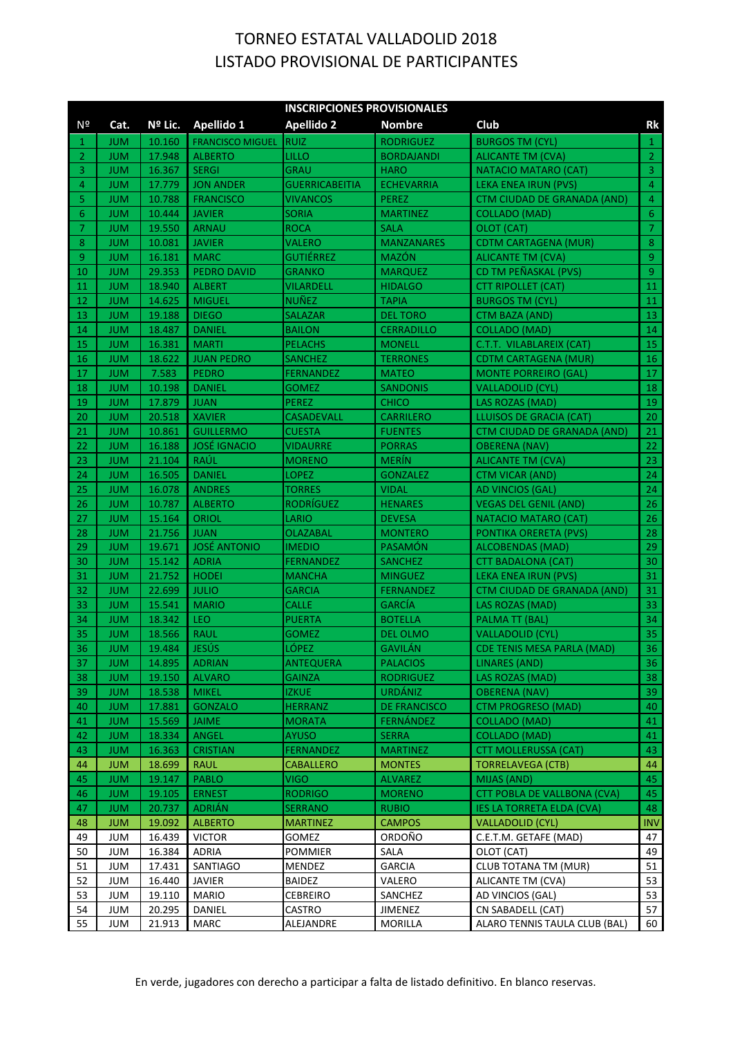|          | <b>INSCRIPCIONES PROVISIONALES</b> |                  |                                 |                          |                         |                                           |                  |  |  |
|----------|------------------------------------|------------------|---------------------------------|--------------------------|-------------------------|-------------------------------------------|------------------|--|--|
| Nº       | Cat.                               | Nº Lic.          | Apellido 1                      | <b>Apellido 2</b>        | <b>Nombre</b>           | Club                                      | Rk               |  |  |
| 1        | <b>JUM</b>                         | 10.160           | <b>FRANCISCO MIGUEL</b>         | <b>RUIZ</b>              | <b>RODRIGUEZ</b>        | <b>BURGOS TM (CYL)</b>                    | $\mathbf{1}$     |  |  |
| 2        | <b>JUM</b>                         | 17.948           | <b>ALBERTO</b>                  | LILLO                    | <b>BORDAJANDI</b>       | <b>ALICANTE TM (CVA)</b>                  | $\overline{2}$   |  |  |
| 3        | <b>JUM</b>                         | 16.367           | <b>SERGI</b>                    | GRAU                     | <b>HARO</b>             | NATACIO MATARO (CAT)                      | $\overline{3}$   |  |  |
| 4        | <b>JUM</b>                         | 17.779           | <b>JON ANDER</b>                | <b>GUERRICABEITIA</b>    | <b>ECHEVARRIA</b>       | LEKA ENEA IRUN (PVS)                      | $\overline{4}$   |  |  |
| 5        | <b>JUM</b>                         | 10.788           | <b>FRANCISCO</b>                | <b>VIVANCOS</b>          | <b>PEREZ</b>            | <b>CTM CIUDAD DE GRANADA (AND)</b>        | $\overline{4}$   |  |  |
| 6        | <b>JUM</b>                         | 10.444           | <b>JAVIER</b>                   | SORIA                    | <b>MARTINEZ</b>         | <b>COLLADO (MAD)</b>                      | 6                |  |  |
| 7        | <b>JUM</b>                         | 19.550           | <b>ARNAU</b>                    | <b>ROCA</b>              | <b>SALA</b>             | OLOT (CAT)                                | $\overline{7}$   |  |  |
| 8        | <b>JUM</b>                         | 10.081           | <b>JAVIER</b>                   | <b>VALERO</b>            | <b>MANZANARES</b>       | <b>CDTM CARTAGENA (MUR)</b>               | $\,8\,$          |  |  |
| 9        | <b>JUM</b>                         | 16.181           | <b>MARC</b>                     | GUTIÉRREZ                | <b>MAZÓN</b>            | <b>ALICANTE TM (CVA)</b>                  | $\overline{9}$   |  |  |
| 10       | <b>JUM</b>                         | 29.353           | <b>PEDRO DAVID</b>              | <b>GRANKO</b>            | <b>MARQUEZ</b>          | CD TM PEÑASKAL (PVS)                      | $\overline{9}$   |  |  |
| 11       | <b>JUM</b>                         | 18.940           | <b>ALBERT</b>                   | VILARDELL                | <b>HIDALGO</b>          | CTT RIPOLLET (CAT)                        | 11               |  |  |
| 12       | <b>JUM</b>                         | 14.625           | <b>MIGUEL</b>                   | NUÑEZ                    | <b>TAPIA</b>            | <b>BURGOS TM (CYL)</b>                    | 11               |  |  |
| 13       | <b>JUM</b>                         | 19.188           | <b>DIEGO</b>                    | SALAZAR                  | <b>DEL TORO</b>         | <b>CTM BAZA (AND)</b>                     | 13               |  |  |
| 14       | <b>JUM</b>                         | 18.487           | <b>DANIEL</b>                   | <b>BAILON</b>            | <b>CERRADILLO</b>       | <b>COLLADO (MAD)</b>                      | 14               |  |  |
| 15       | <b>JUM</b>                         | 16.381           | <b>MARTI</b>                    | <b>PELACHS</b>           | <b>MONELL</b>           | C.T.T. VILABLAREIX (CAT)                  | 15               |  |  |
| 16       | <b>JUM</b>                         | 18.622           | <b>JUAN PEDRO</b>               | SANCHEZ                  | <b>TERRONES</b>         | CDTM CARTAGENA (MUR)                      | 16               |  |  |
| 17       | <b>JUM</b>                         | 7.583            | <b>PEDRO</b>                    | FERNANDEZ                | <b>MATEO</b>            | <b>MONTE PORREIRO (GAL)</b>               | 17               |  |  |
| 18       | <b>JUM</b>                         | 10.198           | <b>DANIEL</b>                   | GOMEZ                    | <b>SANDONIS</b>         | <b>VALLADOLID (CYL)</b>                   | 18               |  |  |
| 19       | <b>JUM</b>                         | 17.879           | <b>JUAN</b>                     | <b>PEREZ</b>             | <b>CHICO</b>            | LAS ROZAS (MAD)                           | 19               |  |  |
| 20       | <b>JUM</b>                         | 20.518           | <b>XAVIER</b>                   | <b>CASADEVALL</b>        | <b>CARRILERO</b>        | LLUISOS DE GRACIA (CAT)                   | 20               |  |  |
| 21       | <b>JUM</b>                         | 10.861           | <b>GUILLERMO</b>                | <b>CUESTA</b>            | <b>FUENTES</b>          | <b>CTM CIUDAD DE GRANADA (AND)</b>        | 21               |  |  |
| 22       | <b>JUM</b>                         | 16.188           | <b>JOSÉ IGNACIO</b>             | <b>VIDAURRE</b>          | <b>PORRAS</b>           | <b>OBERENA (NAV)</b>                      | 22               |  |  |
| 23       | <b>JUM</b>                         | 21.104           | RAÚL                            | <b>MORENO</b>            | <b>MERIN</b>            | ALICANTE TM (CVA)                         | 23               |  |  |
| 24       | <b>JUM</b>                         | 16.505           | <b>DANIEL</b>                   | LOPEZ                    | <b>GONZALEZ</b>         | <b>CTM VICAR (AND)</b>                    | 24               |  |  |
| 25       | <b>JUM</b>                         | 16.078           | <b>ANDRES</b>                   | <b>TORRES</b>            | <b>VIDAL</b>            | <b>AD VINCIOS (GAL)</b>                   | 24               |  |  |
| 26       | <b>JUM</b>                         | 10.787           | <b>ALBERTO</b>                  | <b>RODRÍGUEZ</b>         | <b>HENARES</b>          | <b>VEGAS DEL GENIL (AND)</b>              | 26               |  |  |
| 27       | <b>JUM</b>                         | 15.164           | ORIOL                           | LARIO                    | <b>DEVESA</b>           | NATACIO MATARO (CAT)                      | 26               |  |  |
| 28       | <b>JUM</b>                         | 21.756           | <b>JUAN</b>                     | OLAZABAL                 | <b>MONTERO</b>          | PONTIKA ORERETA (PVS)                     | 28               |  |  |
| 29       | <b>JUM</b>                         | 19.671           | <b>JOSÉ ANTONIO</b>             | <b>IMEDIO</b>            | PASAMÓN                 | <b>ALCOBENDAS (MAD)</b>                   | 29               |  |  |
| 30       | <b>JUM</b>                         | 15.142           | <b>ADRIA</b>                    | <b>FERNANDEZ</b>         | <b>SANCHEZ</b>          | CTT BADALONA (CAT)                        | 30               |  |  |
| 31       | <b>JUM</b>                         | 21.752           | <b>HODEI</b>                    | <b>MANCHA</b>            | <b>MINGUEZ</b>          | LEKA ENEA IRUN (PVS)                      | 31               |  |  |
| 32       | <b>JUM</b>                         | 22.699           | <b>JULIO</b>                    | <b>GARCIA</b>            | <b>FERNANDEZ</b>        | <b>CTM CIUDAD DE GRANADA (AND)</b>        | 31               |  |  |
| 33       | <b>JUM</b>                         | 15.541           | <b>MARIO</b>                    | CALLE                    | <b>GARCIA</b>           | LAS ROZAS (MAD)                           | 33               |  |  |
| 34       | <b>JUM</b>                         | 18.342           | LEO                             | <b>PUERTA</b>            | <b>BOTELLA</b>          | <b>PALMA TT (BAL)</b>                     | 34               |  |  |
| 35       | <b>JUM</b>                         | 18.566           | <b>RAUL</b>                     | <b>GOMEZ</b>             | <b>DEL OLMO</b>         | <b>VALLADOLID (CYL)</b>                   | 35               |  |  |
| 36       | <b>JUM</b>                         | 19.484           | <b>JESÚS</b>                    | LÓPEZ                    | <b>GAVILÁN</b>          | CDE TENIS MESA PARLA (MAD)                | 36               |  |  |
| -37      | <b>JUM</b>                         | 14.895           | <b>ADRIAN</b>                   | <b>ANTEQUERA</b>         | <b>PALACIOS</b>         | <b>LINARES (AND)</b>                      | 36               |  |  |
| 38       | <b>JUM</b>                         | 19.150           | <b>ALVARO</b>                   | <b>GAINZA</b>            | <b>RODRIGUEZ</b>        | LAS ROZAS (MAD)                           | 38               |  |  |
| 39       | <b>JUM</b>                         | 18.538           | <b>MIKEL</b>                    | <b>IZKUE</b>             | <b>URDÁNIZ</b>          | <b>OBERENA (NAV)</b>                      | 39               |  |  |
| 40       | <b>JUM</b>                         | 17.881           | <b>GONZALO</b>                  | <b>HERRANZ</b>           | <b>DE FRANCISCO</b>     | <b>CTM PROGRESO (MAD)</b>                 | 40               |  |  |
| 41       | <b>JUM</b>                         | 15.569           | <b>JAIME</b>                    | MORATA                   | FERNÁNDEZ               | COLLADO (MAD)                             | 41               |  |  |
| 42       | <b>JUM</b>                         | 18.334           | ANGEL                           | <b>AYUSO</b>             | <b>SERRA</b>            | COLLADO (MAD)                             | 41               |  |  |
| 43       | <b>JUM</b>                         | 16.363           | <b>CRISTIAN</b>                 | <b>FERNANDEZ</b>         | <b>MARTINEZ</b>         | <b>CTT MOLLERUSSA (CAT)</b>               | 43               |  |  |
| 44       | <b>JUM</b>                         | 18.699           | <b>RAUL</b>                     | CABALLERO                | <b>MONTES</b>           | TORRELAVEGA (CTB)                         | 44               |  |  |
| 45       | <b>JUM</b>                         | 19.147           | <b>PABLO</b>                    | <b>VIGO</b>              | <b>ALVAREZ</b>          | MIJAS (AND)                               | 45               |  |  |
| 46       | <b>JUM</b>                         | 19.105           | <b>ERNEST</b>                   | <b>RODRIGO</b>           | <b>MORENO</b>           | <b>CTT POBLA DE VALLBONA (CVA)</b>        | 45<br>48         |  |  |
| 47       | <b>JUM</b>                         | 20.737           | <b>ADRIAN</b>                   | <b>SERRANO</b>           | <b>RUBIO</b>            | IES LA TORRETA ELDA (CVA)                 |                  |  |  |
| 48<br>49 | <b>JUM</b><br><b>JUM</b>           | 19.092<br>16.439 | <b>ALBERTO</b><br><b>VICTOR</b> | MARTINEZ                 | <b>CAMPOS</b><br>ORDOÑO | VALLADOLID (CYL)                          | <b>INV</b><br>47 |  |  |
|          |                                    |                  | <b>ADRIA</b>                    | GOMEZ                    |                         | C.E.T.M. GETAFE (MAD)                     | 49               |  |  |
| 50<br>51 | <b>JUM</b><br><b>JUM</b>           | 16.384<br>17.431 | SANTIAGO                        | <b>POMMIER</b><br>MENDEZ | SALA<br><b>GARCIA</b>   | OLOT (CAT)<br><b>CLUB TOTANA TM (MUR)</b> | 51               |  |  |
| 52       | <b>JUM</b>                         | 16.440           | <b>JAVIER</b>                   | BAIDEZ                   | VALERO                  | ALICANTE TM (CVA)                         | 53               |  |  |
| 53       | <b>JUM</b>                         | 19.110           | <b>MARIO</b>                    | <b>CEBREIRO</b>          | SANCHEZ                 | AD VINCIOS (GAL)                          | 53               |  |  |
| 54       | JUM                                | 20.295           | DANIEL                          | CASTRO                   | <b>JIMENEZ</b>          | CN SABADELL (CAT)                         | 57               |  |  |
| 55       | <b>JUM</b>                         | 21.913           | <b>MARC</b>                     | ALEJANDRE                | <b>MORILLA</b>          | ALARO TENNIS TAULA CLUB (BAL)             | 60               |  |  |
|          |                                    |                  |                                 |                          |                         |                                           |                  |  |  |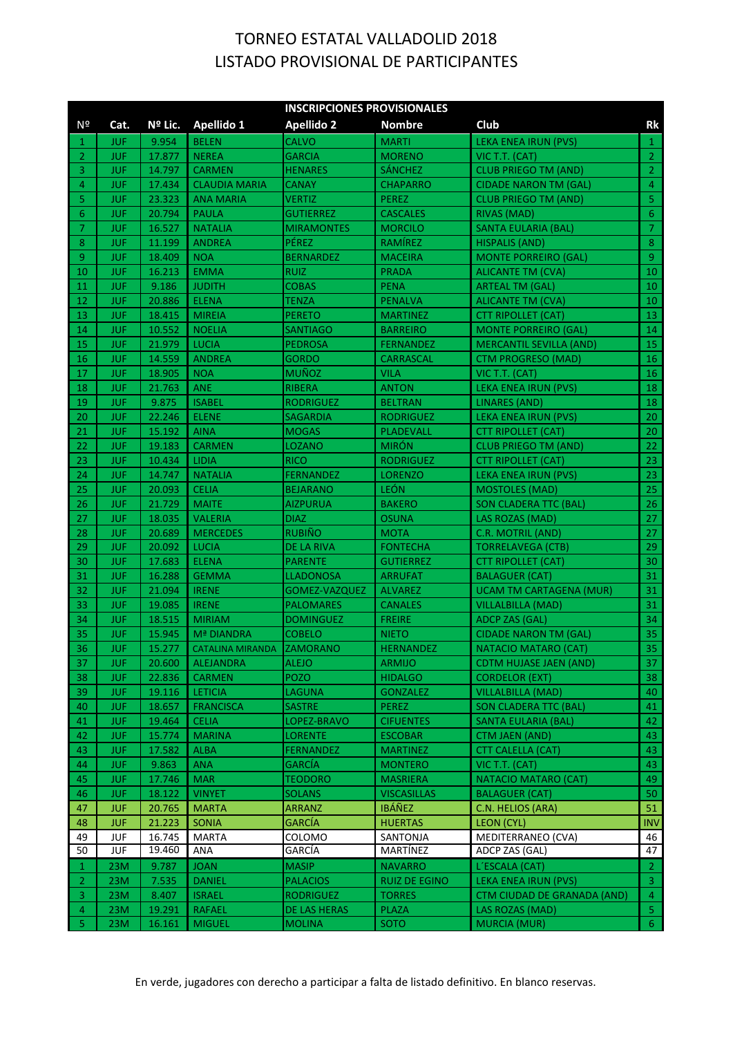|                      | <b>INSCRIPCIONES PROVISIONALES</b> |                 |                           |                                   |                                   |                                            |                |  |
|----------------------|------------------------------------|-----------------|---------------------------|-----------------------------------|-----------------------------------|--------------------------------------------|----------------|--|
| Nº                   | Cat.                               | Nº Lic.         | Apellido 1                | Apellido 2                        | <b>Nombre</b>                     | Club                                       | Rk             |  |
| 1                    | JUF.                               | 9.954           | <b>BELEN</b>              | <b>CALVO</b>                      | <b>MARTI</b>                      | LEKA ENEA IRUN (PVS)                       | $\mathbf{1}$   |  |
| 2                    | <b>JUF</b>                         | 17.877          | <b>NEREA</b>              | <b>GARCIA</b>                     | <b>MORENO</b>                     | VIC T.T. (CAT)                             | $\overline{2}$ |  |
| 3                    | <b>JUF</b>                         | 14.797          | <b>CARMEN</b>             | <b>HENARES</b>                    | <b>SÁNCHEZ</b>                    | <b>CLUB PRIEGO TM (AND)</b>                | $\overline{2}$ |  |
| 4                    | <b>JUF</b>                         | 17.434          | <b>CLAUDIA MARIA</b>      | <b>CANAY</b>                      | <b>CHAPARRO</b>                   | <b>CIDADE NARON TM (GAL)</b>               | $\overline{4}$ |  |
| 5                    | <b>JUF</b>                         | 23.323          | <b>ANA MARIA</b>          | VERTIZ                            | <b>PEREZ</b>                      | <b>CLUB PRIEGO TM (AND)</b>                | $\mathsf S$    |  |
| 6                    | <b>JUF</b>                         | 20.794          | <b>PAULA</b>              | GUTIERREZ                         | <b>CASCALES</b>                   | <b>RIVAS (MAD)</b>                         | $\sqrt{6}$     |  |
| 7                    | <b>JUF</b>                         | 16.527          | <b>NATALIA</b>            | <b>MIRAMONTES</b>                 | <b>MORCILO</b>                    | SANTA EULARIA (BAL)                        | $\overline{7}$ |  |
| 8                    | JUF.                               | 11.199          | <b>ANDREA</b>             | PÉREZ                             | RAMIREZ                           | HISPALIS (AND)                             | $\bf 8$        |  |
| 9                    | JUF.                               | 18.409          | <b>NOA</b>                | <b>BERNARDEZ</b>                  | <b>MACEIRA</b>                    | <b>MONTE PORREIRO (GAL)</b>                | $\overline{9}$ |  |
| 10                   | <b>JUF</b>                         | 16.213          | <b>EMMA</b>               | RUIZ                              | <b>PRADA</b>                      | <b>ALICANTE TM (CVA)</b>                   | 10             |  |
| 11                   | <b>JUF</b>                         | 9.186           | <b>JUDITH</b>             | <b>COBAS</b>                      | <b>PENA</b>                       | ARTEAL TM (GAL)                            | 10             |  |
| 12                   | <b>JUF</b>                         | 20.886          | <b>ELENA</b>              | <b>TENZA</b>                      | <b>PENALVA</b>                    | ALICANTE TM (CVA)                          | 10             |  |
| 13                   | <b>JUF</b>                         | 18.415          | <b>MIREIA</b>             | <b>PERETO</b>                     | <b>MARTINEZ</b>                   | <b>CTT RIPOLLET (CAT)</b>                  | 13             |  |
| 14                   | <b>JUF</b>                         | 10.552          | <b>NOELIA</b>             | SANTIAGO                          | <b>BARREIRO</b>                   | <b>MONTE PORREIRO (GAL)</b>                | 14             |  |
| 15                   | JUF.                               | 21.979          | <b>LUCIA</b>              | <b>PEDROSA</b>                    | <b>FERNANDEZ</b>                  | <b>MERCANTIL SEVILLA (AND)</b>             | 15             |  |
| 16                   | <b>JUF</b>                         | 14.559          | <b>ANDREA</b>             | GORDO                             | <b>CARRASCAL</b>                  | CTM PROGRESO (MAD)                         | 16             |  |
| 17                   | <b>JUF</b>                         | 18.905          | <b>NOA</b>                | <b>MUÑOZ</b>                      | <b>VILA</b>                       | VIC T.T. (CAT)                             | 16             |  |
| 18                   | <b>JUF</b>                         | 21.763          | <b>ANE</b>                | <b>RIBERA</b>                     | <b>ANTON</b>                      | LEKA ENEA IRUN (PVS)                       | 18             |  |
| 19                   | <b>JUF</b>                         | 9.875           | <b>ISABEL</b>             | RODRIGUEZ                         | <b>BELTRAN</b>                    | <b>LINARES (AND)</b>                       | 18             |  |
| 20                   | <b>JUF</b>                         | 22.246          | <b>ELENE</b>              | SAGARDIA                          | <b>RODRIGUEZ</b>                  | LEKA ENEA IRUN (PVS)                       | 20             |  |
| 21                   | <b>JUF</b>                         | 15.192          | <b>AINA</b>               | <b>MOGAS</b>                      | <b>PLADEVALL</b>                  | <b>CTT RIPOLLET (CAT)</b>                  | 20             |  |
| 22                   | <b>JUF</b>                         | 19.183          | <b>CARMEN</b>             | <b>LOZANO</b>                     | <b>MIRÓN</b>                      | <b>CLUB PRIEGO TM (AND)</b>                | 22             |  |
| 23                   | <b>JUF</b>                         | 10.434          | LIDIA                     | <b>RICO</b>                       | <b>RODRIGUEZ</b>                  | <b>CTT RIPOLLET (CAT)</b>                  | 23             |  |
| 24                   | <b>JUF</b>                         | 14.747          | <b>NATALIA</b>            | <b>FERNANDEZ</b>                  | <b>LORENZO</b>                    | LEKA ENEA IRUN (PVS)                       | 23             |  |
| 25                   | <b>JUF</b>                         | 20.093          | <b>CELIA</b>              | <b>BEJARANO</b>                   | LEÓN                              | <b>MOSTOLES (MAD)</b>                      | 25             |  |
| 26                   | <b>JUF</b>                         | 21.729          | <b>MAITE</b>              | <b>AIZPURUA</b>                   | <b>BAKERO</b>                     | <b>SON CLADERA TTC (BAL)</b>               | 26             |  |
| 27                   | <b>JUF</b>                         | 18.035          | <b>VALERIA</b>            | <b>DIAZ</b>                       | <b>OSUNA</b>                      | LAS ROZAS (MAD)                            | 27             |  |
| 28                   | <b>JUF</b>                         | 20.689          | <b>MERCEDES</b>           | <b>RUBIÑO</b>                     | <b>MOTA</b>                       | C.R. MOTRIL (AND)                          | 27             |  |
| 29                   | <b>JUF</b>                         | 20.092          | <b>LUCIA</b>              | DE LA RIVA                        | <b>FONTECHA</b>                   | <b>TORRELAVEGA (CTB)</b>                   | 29             |  |
| 30                   | <b>JUF</b>                         | 17.683          | <b>ELENA</b>              | <b>PARENTE</b>                    | <b>GUTIERREZ</b>                  | <b>CTT RIPOLLET (CAT)</b>                  | 30             |  |
| 31                   | <b>JUF</b>                         | 16.288          | <b>GEMMA</b>              | <b>LLADONOSA</b>                  | <b>ARRUFAT</b>                    | <b>BALAGUER (CAT)</b>                      | 31             |  |
| 32                   | <b>JUF</b>                         | 21.094          | <b>IRENE</b>              | GOMEZ-VAZQUEZ                     | <b>ALVAREZ</b>                    | <b>UCAM TM CARTAGENA (MUR)</b>             | 31             |  |
| 33                   | JUF.                               | 19.085          | <b>IRENE</b>              | <b>PALOMARES</b>                  | <b>CANALES</b>                    | VILLALBILLA (MAD)                          | 31             |  |
| 34                   | JUF.                               | 18.515          | <b>MIRIAM</b>             | DOMINGUEZ                         | <b>FREIRE</b>                     | <b>ADCP ZAS (GAL)</b>                      | 34             |  |
| 35                   | JUF                                | 15.945          | <b>Mª DIANDRA</b>         | COBELO                            | <b>NIETO</b>                      | <b>CIDADE NARON TM (GAL)</b>               | 35             |  |
| 36                   | <b>JUF</b>                         | 15.277          | <b>CATALINA MIRANDA</b>   | <b>ZAMORANO</b>                   | <b>HERNANDEZ</b>                  | NATACIO MATARO (CAT)                       | 35             |  |
| 37                   | <b>JUF</b>                         | 20.600          | <b>ALEJANDRA</b>          | <b>ALEJO</b>                      | <b>ARMIJO</b>                     | <b>CDTM HUJASE JAEN (AND)</b>              | 37             |  |
| 38                   | <b>JUF</b>                         | 22.836          | <b>CARMEN</b>             | <b>POZO</b>                       | <b>HIDALGO</b>                    | <b>CORDELOR (EXT)</b>                      | 38             |  |
| 39                   | <b>JUF</b>                         | 19.116          | LETICIA                   | <b>LAGUNA</b>                     | <b>GONZALEZ</b>                   | <b>VILLALBILLA (MAD)</b>                   | 40             |  |
| 40                   | <b>JUF</b>                         | 18.657          | <b>FRANCISCA</b>          | SASTRE                            | <b>PEREZ</b>                      | <b>SON CLADERA TTC (BAL)</b>               | 41             |  |
| 41                   | <b>JUF</b>                         | 19.464          | <b>CELIA</b>              | LOPEZ-BRAVO                       | <b>CIFUENTES</b>                  | SANTA EULARIA (BAL)                        | 42             |  |
| 42                   | <b>JUF</b>                         | 15.774          | <b>MARINA</b>             | <b>LORENTE</b>                    | <b>ESCOBAR</b>                    | CTM JAEN (AND)                             | 43             |  |
| 43<br>44             | <b>JUF</b><br><b>JUF</b>           | 17.582<br>9.863 | <b>ALBA</b><br><b>ANA</b> | <b>FERNANDEZ</b><br><b>GARCÍA</b> | <b>MARTINEZ</b><br><b>MONTERO</b> | <b>CTT CALELLA (CAT)</b><br>VIC T.T. (CAT) | 43<br>43       |  |
| 45                   | <b>JUF</b>                         | 17.746          | <b>MAR</b>                | <b>TEODORO</b>                    | <b>MASRIERA</b>                   | <b>NATACIO MATARO (CAT)</b>                | 49             |  |
| 46                   | <b>JUF</b>                         | 18.122          | <b>VINYET</b>             | <b>SOLANS</b>                     | <b>VISCASILLAS</b>                | <b>BALAGUER (CAT)</b>                      | 50             |  |
| 47                   | <b>JUF</b>                         | 20.765          | <b>MARTA</b>              | <b>ARRANZ</b>                     | <b>IBÁÑEZ</b>                     | C.N. HELIOS (ARA)                          | 51             |  |
| 48                   | <b>JUF</b>                         | 21.223          | <b>SONIA</b>              | <b>GARCÍA</b>                     | <b>HUERTAS</b>                    | LEON (CYL)                                 | <b>INV</b>     |  |
| 49                   | JUF                                | 16.745          | <b>MARTA</b>              | COLOMO                            | SANTONJA                          | MEDITERRANEO (CVA)                         | 46             |  |
| 50                   | <b>JUF</b>                         | 19.460          | ANA                       | GARCÍA                            | MARTÍNEZ                          | ADCP ZAS (GAL)                             | 47             |  |
| 1.                   | 23M                                | 9.787           | <b>JOAN</b>               | <b>MASIP</b>                      | <b>NAVARRO</b>                    | L'ESCALA (CAT)                             | $\overline{2}$ |  |
| $\mathbf{2}^{\circ}$ | 23M                                | 7.535           | <b>DANIEL</b>             | <b>PALACIOS</b>                   | RUIZ DE EGINO                     | LEKA ENEA IRUN (PVS)                       | $\overline{3}$ |  |
| 3                    | 23M                                | 8.407           | <b>ISRAEL</b>             | <b>RODRIGUEZ</b>                  | <b>TORRES</b>                     | <b>CTM CIUDAD DE GRANADA (AND)</b>         | $\overline{4}$ |  |
| 4                    | 23M                                | 19.291          | <b>RAFAEL</b>             | DE LAS HERAS                      | PLAZA                             | LAS ROZAS (MAD)                            | $\mathsf S$    |  |
| 5                    | 23M                                | 16.161          | <b>MIGUEL</b>             | <b>MOLINA</b>                     | SOTO                              | <b>MURCIA (MUR)</b>                        | 6 <sup>1</sup> |  |
|                      |                                    |                 |                           |                                   |                                   |                                            |                |  |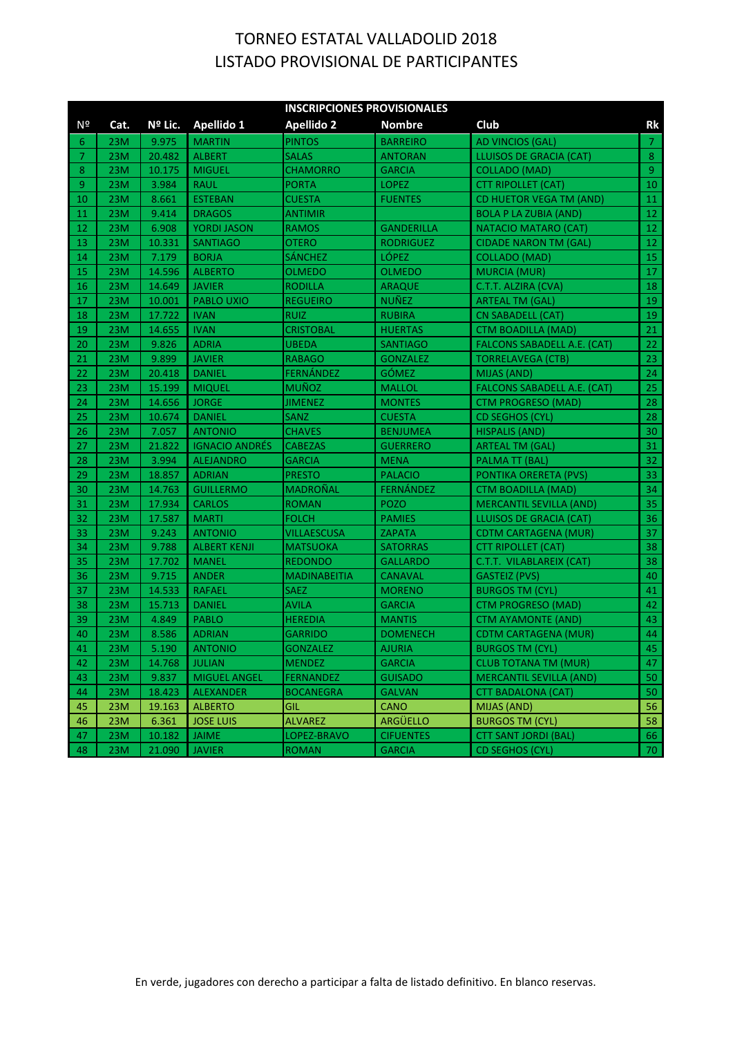|    | <b>INSCRIPCIONES PROVISIONALES</b> |         |                       |                     |                   |                                    |                |  |  |  |
|----|------------------------------------|---------|-----------------------|---------------------|-------------------|------------------------------------|----------------|--|--|--|
| Nº | Cat.                               | Nº Lic. | <b>Apellido 1</b>     | <b>Apellido 2</b>   | <b>Nombre</b>     | Club                               | Rk             |  |  |  |
| 6  | 23M                                | 9.975   | <b>MARTIN</b>         | <b>PINTOS</b>       | <b>BARREIRO</b>   | AD VINCIOS (GAL)                   | $\overline{7}$ |  |  |  |
| 7  | 23M                                | 20.482  | <b>ALBERT</b>         | <b>SALAS</b>        | <b>ANTORAN</b>    | LLUISOS DE GRACIA (CAT)            | 8              |  |  |  |
| 8  | 23M                                | 10.175  | <b>MIGUEL</b>         | <b>CHAMORRO</b>     | <b>GARCIA</b>     | <b>COLLADO (MAD)</b>               | 9 <sup>°</sup> |  |  |  |
| 9  | 23M                                | 3.984   | <b>RAUL</b>           | <b>PORTA</b>        | <b>LOPEZ</b>      | <b>CTT RIPOLLET (CAT)</b>          | 10             |  |  |  |
| 10 | 23M                                | 8.661   | <b>ESTEBAN</b>        | <b>CUESTA</b>       | <b>FUENTES</b>    | CD HUETOR VEGA TM (AND)            | 11             |  |  |  |
| 11 | 23M                                | 9.414   | <b>DRAGOS</b>         | <b>ANTIMIR</b>      |                   | <b>BOLA P LA ZUBIA (AND)</b>       | 12             |  |  |  |
| 12 | 23M                                | 6.908   | <b>YORDI JASON</b>    | <b>RAMOS</b>        | <b>GANDERILLA</b> | NATACIO MATARO (CAT)               | 12             |  |  |  |
| 13 | 23M                                | 10.331  | <b>SANTIAGO</b>       | <b>OTERO</b>        | <b>RODRIGUEZ</b>  | <b>CIDADE NARON TM (GAL)</b>       | 12             |  |  |  |
| 14 | 23M                                | 7.179   | <b>BORJA</b>          | SÁNCHEZ             | LÓPEZ             | <b>COLLADO (MAD)</b>               | 15             |  |  |  |
| 15 | 23M                                | 14.596  | <b>ALBERTO</b>        | <b>OLMEDO</b>       | <b>OLMEDO</b>     | <b>MURCIA (MUR)</b>                | 17             |  |  |  |
| 16 | 23M                                | 14.649  | <b>JAVIER</b>         | <b>RODILLA</b>      | <b>ARAQUE</b>     | C.T.T. ALZIRA (CVA)                | 18             |  |  |  |
| 17 | 23M                                | 10.001  | <b>PABLO UXIO</b>     | <b>REGUEIRO</b>     | <b>NUÑEZ</b>      | ARTEAL TM (GAL)                    | 19             |  |  |  |
| 18 | 23M                                | 17.722  | <b>IVAN</b>           | <b>RUIZ</b>         | <b>RUBIRA</b>     | CN SABADELL (CAT)                  | 19             |  |  |  |
| 19 | 23M                                | 14.655  | <b>IVAN</b>           | <b>CRISTOBAL</b>    | <b>HUERTAS</b>    | CTM BOADILLA (MAD)                 | 21             |  |  |  |
| 20 | 23M                                | 9.826   | <b>ADRIA</b>          | <b>UBEDA</b>        | <b>SANTIAGO</b>   | <b>FALCONS SABADELL A.E. (CAT)</b> | 22             |  |  |  |
| 21 | 23M                                | 9.899   | <b>JAVIER</b>         | <b>RABAGO</b>       | <b>GONZALEZ</b>   | <b>TORRELAVEGA (CTB)</b>           | 23             |  |  |  |
| 22 | 23M                                | 20.418  | <b>DANIEL</b>         | <b>FERNÁNDEZ</b>    | GÓMEZ             | MIJAS (AND)                        | 24             |  |  |  |
| 23 | 23M                                | 15.199  | <b>MIQUEL</b>         | <b>MUÑOZ</b>        | <b>MALLOL</b>     | <b>FALCONS SABADELL A.E. (CAT)</b> | 25             |  |  |  |
| 24 | 23M                                | 14.656  | <b>JORGE</b>          | JIMENEZ             | <b>MONTES</b>     | CTM PROGRESO (MAD)                 | 28             |  |  |  |
| 25 | 23M                                | 10.674  | <b>DANIEL</b>         | <b>SANZ</b>         | <b>CUESTA</b>     | CD SEGHOS (CYL)                    | 28             |  |  |  |
| 26 | 23M                                | 7.057   | <b>ANTONIO</b>        | <b>CHAVES</b>       | <b>BENJUMEA</b>   | <b>HISPALIS (AND)</b>              | 30             |  |  |  |
| 27 | 23M                                | 21.822  | <b>IGNACIO ANDRÉS</b> | <b>CABEZAS</b>      | <b>GUERRERO</b>   | <b>ARTEAL TM (GAL)</b>             | 31             |  |  |  |
| 28 | 23M                                | 3.994   | <b>ALEJANDRO</b>      | <b>GARCIA</b>       | <b>MENA</b>       | PALMA TT (BAL)                     | 32             |  |  |  |
| 29 | 23M                                | 18.857  | <b>ADRIAN</b>         | <b>PRESTO</b>       | <b>PALACIO</b>    | PONTIKA ORERETA (PVS)              | 33             |  |  |  |
| 30 | 23M                                | 14.763  | <b>GUILLERMO</b>      | <b>MADROÑAL</b>     | FERNÁNDEZ         | CTM BOADILLA (MAD)                 | 34             |  |  |  |
| 31 | 23M                                | 17.934  | <b>CARLOS</b>         | <b>ROMAN</b>        | <b>POZO</b>       | <b>MERCANTIL SEVILLA (AND)</b>     | 35             |  |  |  |
| 32 | 23M                                | 17.587  | <b>MARTI</b>          | <b>FOLCH</b>        | <b>PAMIES</b>     | LLUISOS DE GRACIA (CAT)            | 36             |  |  |  |
| 33 | 23M                                | 9.243   | <b>ANTONIO</b>        | <b>VILLAESCUSA</b>  | <b>ZAPATA</b>     | <b>CDTM CARTAGENA (MUR)</b>        | 37             |  |  |  |
| 34 | 23M                                | 9.788   | <b>ALBERT KENJI</b>   | <b>MATSUOKA</b>     | <b>SATORRAS</b>   | <b>CTT RIPOLLET (CAT)</b>          | 38             |  |  |  |
| 35 | 23M                                | 17.702  | <b>MANEL</b>          | <b>REDONDO</b>      | <b>GALLARDO</b>   | C.T.T. VILABLAREIX (CAT)           | 38             |  |  |  |
| 36 | 23M                                | 9.715   | <b>ANDER</b>          | <b>MADINABEITIA</b> | <b>CANAVAL</b>    | <b>GASTEIZ (PVS)</b>               | 40             |  |  |  |
| 37 | 23M                                | 14.533  | <b>RAFAEL</b>         | <b>SAEZ</b>         | <b>MORENO</b>     | <b>BURGOS TM (CYL)</b>             | 41             |  |  |  |
| 38 | 23M                                | 15.713  | <b>DANIEL</b>         | <b>AVILA</b>        | <b>GARCIA</b>     | <b>CTM PROGRESO (MAD)</b>          | 42             |  |  |  |
| 39 | 23M                                | 4.849   | <b>PABLO</b>          | <b>HEREDIA</b>      | <b>MANTIS</b>     | <b>CTM AYAMONTE (AND)</b>          | 43             |  |  |  |
| 40 | 23M                                | 8.586   | <b>ADRIAN</b>         | <b>GARRIDO</b>      | <b>DOMENECH</b>   | <b>CDTM CARTAGENA (MUR)</b>        | 44             |  |  |  |
| 41 | 23M                                | 5.190   | <b>ANTONIO</b>        | <b>GONZALEZ</b>     | <b>AJURIA</b>     | <b>BURGOS TM (CYL)</b>             | 45             |  |  |  |
| 42 | 23M                                | 14.768  | <b>JULIAN</b>         | <b>MENDEZ</b>       | <b>GARCIA</b>     | <b>CLUB TOTANA TM (MUR)</b>        | 47             |  |  |  |
| 43 | 23M                                | 9.837   | <b>MIGUEL ANGEL</b>   | <b>FERNANDEZ</b>    | <b>GUISADO</b>    | <b>MERCANTIL SEVILLA (AND)</b>     | 50             |  |  |  |
| 44 | 23M                                | 18.423  | <b>ALEXANDER</b>      | <b>BOCANEGRA</b>    | <b>GALVAN</b>     | CTT BADALONA (CAT)                 | 50             |  |  |  |
| 45 | 23M                                | 19.163  | <b>ALBERTO</b>        | <b>GIL</b>          | <b>CANO</b>       | MIJAS (AND)                        | 56             |  |  |  |
| 46 | 23M                                | 6.361   | <b>JOSE LUIS</b>      | <b>ALVAREZ</b>      | ARGÜELLO          | <b>BURGOS TM (CYL)</b>             | 58             |  |  |  |
| 47 | 23M                                | 10.182  | <b>JAIME</b>          | LOPEZ-BRAVO         | <b>CIFUENTES</b>  | <b>CTT SANT JORDI (BAL)</b>        | 66             |  |  |  |
| 48 | 23M                                | 21.090  | <b>JAVIER</b>         | <b>ROMAN</b>        | <b>GARCIA</b>     | <b>CD SEGHOS (CYL)</b>             | 70.            |  |  |  |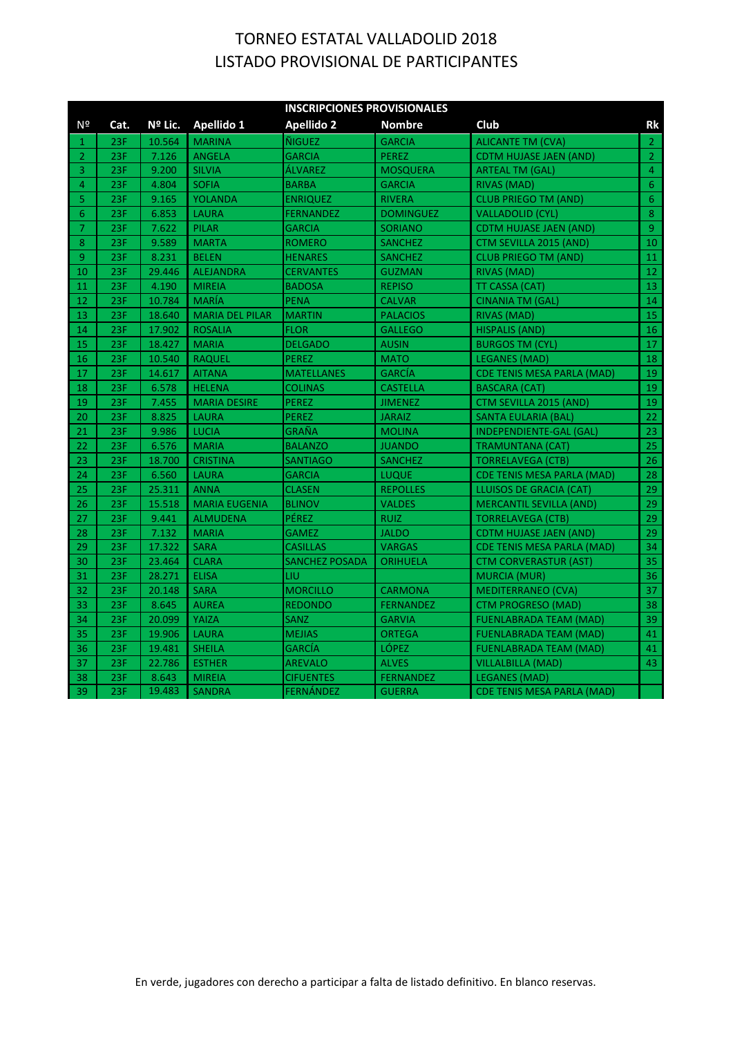|                |      |         |                        | <b>INSCRIPCIONES PROVISIONALES</b> |                  |                                   |                |
|----------------|------|---------|------------------------|------------------------------------|------------------|-----------------------------------|----------------|
| Nº             | Cat. | Nº Lic. | Apellido 1             | <b>Apellido 2</b>                  | <b>Nombre</b>    | Club                              | <b>Rk</b>      |
| 1              | 23F  | 10.564  | <b>MARINA</b>          | ÑIGUEZ                             | <b>GARCIA</b>    | <b>ALICANTE TM (CVA)</b>          | $\overline{2}$ |
| $\overline{2}$ | 23F  | 7.126   | <b>ANGELA</b>          | <b>GARCIA</b>                      | <b>PEREZ</b>     | <b>CDTM HUJASE JAEN (AND)</b>     | $\overline{2}$ |
| 3              | 23F  | 9.200   | <b>SILVIA</b>          | ÁLVAREZ                            | <b>MOSQUERA</b>  | <b>ARTEAL TM (GAL)</b>            | 4              |
| $\overline{4}$ | 23F  | 4.804   | <b>SOFIA</b>           | <b>BARBA</b>                       | <b>GARCIA</b>    | RIVAS (MAD)                       | 6 <sup>1</sup> |
| 5              | 23F  | 9.165   | <b>YOLANDA</b>         | <b>ENRIQUEZ</b>                    | <b>RIVERA</b>    | <b>CLUB PRIEGO TM (AND)</b>       | 6 <sup>1</sup> |
| 6              | 23F  | 6.853   | <b>LAURA</b>           | <b>FERNANDEZ</b>                   | <b>DOMINGUEZ</b> | <b>VALLADOLID (CYL)</b>           | $\bf{8}$       |
| $\overline{7}$ | 23F  | 7.622   | <b>PILAR</b>           | <b>GARCIA</b>                      | <b>SORIANO</b>   | <b>CDTM HUJASE JAEN (AND)</b>     | $\overline{9}$ |
| 8              | 23F  | 9.589   | <b>MARTA</b>           | <b>ROMERO</b>                      | <b>SANCHEZ</b>   | CTM SEVILLA 2015 (AND)            | $10\,$         |
| 9              | 23F  | 8.231   | <b>BELEN</b>           | <b>HENARES</b>                     | <b>SANCHEZ</b>   | <b>CLUB PRIEGO TM (AND)</b>       | 11             |
| 10             | 23F  | 29.446  | <b>ALEJANDRA</b>       | <b>CERVANTES</b>                   | <b>GUZMAN</b>    | RIVAS (MAD)                       | 12             |
| 11             | 23F  | 4.190   | <b>MIREIA</b>          | <b>BADOSA</b>                      | <b>REPISO</b>    | TT CASSA (CAT)                    | 13             |
| 12             | 23F  | 10.784  | <b>MARÍA</b>           | <b>PENA</b>                        | <b>CALVAR</b>    | CINANIA TM (GAL)                  | 14             |
| 13             | 23F  | 18.640  | <b>MARIA DEL PILAR</b> | <b>MARTIN</b>                      | <b>PALACIOS</b>  | RIVAS (MAD)                       | 15             |
| 14             | 23F  | 17.902  | <b>ROSALIA</b>         | <b>FLOR</b>                        | <b>GALLEGO</b>   | <b>HISPALIS (AND)</b>             | 16             |
| 15             | 23F  | 18.427  | <b>MARIA</b>           | <b>DELGADO</b>                     | <b>AUSIN</b>     | <b>BURGOS TM (CYL)</b>            | 17             |
| 16             | 23F  | 10.540  | <b>RAQUEL</b>          | <b>PEREZ</b>                       | <b>MATO</b>      | <b>LEGANES (MAD)</b>              | 18             |
| 17             | 23F  | 14.617  | <b>AITANA</b>          | <b>MATELLANES</b>                  | <b>GARCÍA</b>    | <b>CDE TENIS MESA PARLA (MAD)</b> | 19             |
| 18             | 23F  | 6.578   | <b>HELENA</b>          | <b>COLINAS</b>                     | <b>CASTELLA</b>  | <b>BASCARA (CAT)</b>              | 19             |
| 19             | 23F  | 7.455   | <b>MARIA DESIRE</b>    | <b>PEREZ</b>                       | <b>JIMENEZ</b>   | CTM SEVILLA 2015 (AND)            | 19             |
| 20             | 23F  | 8.825   | <b>LAURA</b>           | <b>PEREZ</b>                       | <b>JARAIZ</b>    | <b>SANTA EULARIA (BAL)</b>        | 22             |
| 21             | 23F  | 9.986   | <b>LUCIA</b>           | GRAÑA                              | <b>MOLINA</b>    | INDEPENDIENTE-GAL (GAL)           | 23             |
| 22             | 23F  | 6.576   | <b>MARIA</b>           | <b>BALANZO</b>                     | <b>JUANDO</b>    | TRAMUNTANA (CAT)                  | 25             |
| 23             | 23F  | 18.700  | <b>CRISTINA</b>        | <b>SANTIAGO</b>                    | <b>SANCHEZ</b>   | <b>TORRELAVEGA (CTB)</b>          | 26             |
| 24             | 23F  | 6.560   | <b>LAURA</b>           | <b>GARCIA</b>                      | <b>LUQUE</b>     | <b>CDE TENIS MESA PARLA (MAD)</b> | 28             |
| 25             | 23F  | 25.311  | <b>ANNA</b>            | <b>CLASEN</b>                      | <b>REPOLLES</b>  | LLUISOS DE GRACIA (CAT)           | 29             |
| 26             | 23F  | 15.518  | <b>MARIA EUGENIA</b>   | <b>BLINOV</b>                      | <b>VALDES</b>    | <b>MERCANTIL SEVILLA (AND)</b>    | 29             |
| 27             | 23F  | 9.441   | <b>ALMUDENA</b>        | PÉREZ                              | <b>RUIZ</b>      | <b>TORRELAVEGA (CTB)</b>          | 29             |
| 28             | 23F  | 7.132   | <b>MARIA</b>           | <b>GAMEZ</b>                       | <b>JALDO</b>     | CDTM HUJASE JAEN (AND)            | 29             |
| 29             | 23F  | 17.322  | <b>SARA</b>            | <b>CASILLAS</b>                    | <b>VARGAS</b>    | <b>CDE TENIS MESA PARLA (MAD)</b> | 34             |
| 30             | 23F  | 23.464  | <b>CLARA</b>           | <b>SANCHEZ POSADA</b>              | ORIHUELA         | <b>CTM CORVERASTUR (AST)</b>      | 35             |
| 31             | 23F  | 28.271  | <b>ELISA</b>           | LIU                                |                  | <b>MURCIA (MUR)</b>               | 36             |
| 32             | 23F  | 20.148  | <b>SARA</b>            | <b>MORCILLO</b>                    | <b>CARMONA</b>   | <b>MEDITERRANEO (CVA)</b>         | 37             |
| 33             | 23F  | 8.645   | <b>AUREA</b>           | <b>REDONDO</b>                     | <b>FERNANDEZ</b> | CTM PROGRESO (MAD)                | 38             |
| 34             | 23F  | 20.099  | YAIZA                  | <b>SANZ</b>                        | <b>GARVIA</b>    | <b>FUENLABRADA TEAM (MAD)</b>     | 39             |
| 35             | 23F  | 19.906  | <b>LAURA</b>           | <b>MEJIAS</b>                      | <b>ORTEGA</b>    | <b>FUENLABRADA TEAM (MAD)</b>     | 41             |
| 36             | 23F  | 19.481  | <b>SHEILA</b>          | <b>GARCÍA</b>                      | LÓPEZ            | <b>FUENLABRADA TEAM (MAD)</b>     | 41             |
| 37             | 23F  | 22.786  | <b>ESTHER</b>          | <b>AREVALO</b>                     | <b>ALVES</b>     | <b>VILLALBILLA (MAD)</b>          | 43             |
| 38             | 23F  | 8.643   | <b>MIREIA</b>          | <b>CIFUENTES</b>                   | <b>FERNANDEZ</b> | LEGANES (MAD)                     |                |
| 39             | 23F  | 19.483  | <b>SANDRA</b>          | <b>FERNÁNDEZ</b>                   | <b>GUERRA</b>    | <b>CDE TENIS MESA PARLA (MAD)</b> |                |